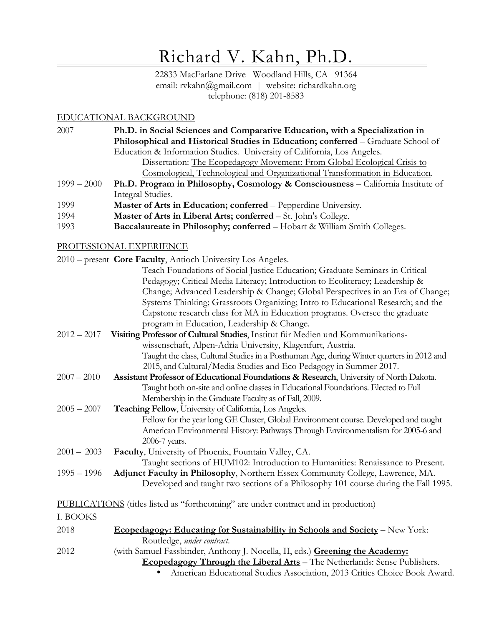# Richard V. Kahn, Ph.D.

22833 MacFarlane Drive Woodland Hills, CA 91364 email: rvkahn@gmail.com | website: richardkahn.org telephone: (818) 201-8583

### EDUCATIONAL BACKGROUND

2007 **Ph.D. in Social Sciences and Comparative Education, with a Specialization in Philosophical and Historical Studies in Education; conferred** – Graduate School of Education & Information Studies. University of California, Los Angeles. Dissertation: The Ecopedagogy Movement: From Global Ecological Crisis to

Cosmological, Technological and Organizational Transformation in Education.

- 1999 2000 **Ph.D. Program in Philosophy, Cosmology & Consciousness** – California Institute of Integral Studies.
- 1999**Master of Arts in Education; conferred** – Pepperdine University.
- 1994**Master of Arts in Liberal Arts; conferred** – St. John's College.
- 1993**Baccalaureate in Philosophy; conferred** – Hobart & William Smith Colleges.

# PROFESSIONAL EXPERIENCE

|               | 2010 – present Core Faculty, Antioch University Los Angeles.                              |
|---------------|-------------------------------------------------------------------------------------------|
|               | Teach Foundations of Social Justice Education; Graduate Seminars in Critical              |
|               | Pedagogy; Critical Media Literacy; Introduction to Ecoliteracy; Leadership &              |
|               | Change; Advanced Leadership & Change; Global Perspectives in an Era of Change;            |
|               | Systems Thinking; Grassroots Organizing; Intro to Educational Research; and the           |
|               | Capstone research class for MA in Education programs. Oversee the graduate                |
|               | program in Education, Leadership & Change.                                                |
| $2012 - 2017$ | Visiting Professor of Cultural Studies, Institut für Medien und Kommunikations-           |
|               | wissenschaft, Alpen-Adria University, Klagenfurt, Austria.                                |
|               | Taught the class, Cultural Studies in a Posthuman Age, during Winter quarters in 2012 and |
|               | 2015, and Cultural/Media Studies and Eco Pedagogy in Summer 2017.                         |
| $2007 - 2010$ | Assistant Professor of Educational Foundations & Research, University of North Dakota.    |
|               | Taught both on-site and online classes in Educational Foundations. Elected to Full        |
|               | Membership in the Graduate Faculty as of Fall, 2009.                                      |
| $2005 - 2007$ | Teaching Fellow, University of California, Los Angeles.                                   |
|               | Fellow for the year long GE Cluster, Global Environment course. Developed and taught      |
|               | American Environmental History: Pathways Through Environmentalism for 2005-6 and          |
|               | 2006-7 years.                                                                             |
| $2001 - 2003$ | Faculty, University of Phoenix, Fountain Valley, CA.                                      |
|               | Taught sections of HUM102: Introduction to Humanities: Renaissance to Present.            |
| $1995 - 1996$ | Adjunct Faculty in Philosophy, Northern Essex Community College, Lawrence, MA.            |
|               | Developed and taught two sections of a Philosophy 101 course during the Fall 1995.        |
|               | PUBLICATIONS (titles listed as "forthcoming" are under contract and in production)        |
| I. BOOKS      |                                                                                           |
| 2018          | Ecopedagogy: Educating for Sustainability in Schools and Society - New York:              |

- Routledge, *under contract*.
- 2012(with Samuel Fassbinder, Anthony J. Nocella, II, eds.) **Greening the Academy:**

**Ecopedagogy Through the Liberal Arts** – The Netherlands: Sense Publishers.

•American Educational Studies Association, 2013 Critics Choice Book Award.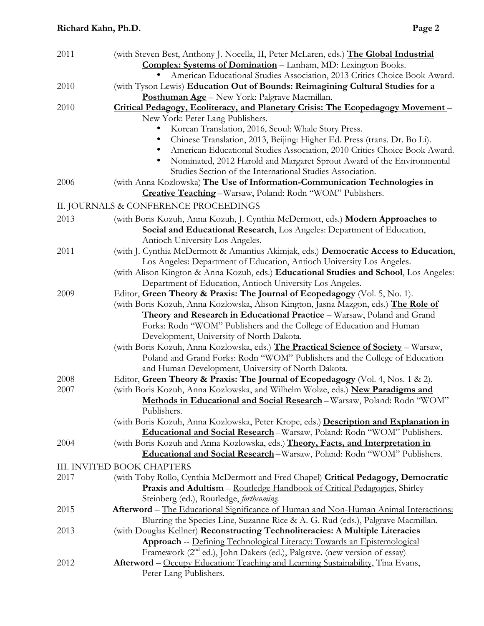| 2011 | (with Steven Best, Anthony J. Nocella, II, Peter McLaren, eds.) The Global Industrial<br><b>Complex: Systems of Domination</b> - Lanham, MD: Lexington Books.                                                                                                                               |
|------|---------------------------------------------------------------------------------------------------------------------------------------------------------------------------------------------------------------------------------------------------------------------------------------------|
|      | American Educational Studies Association, 2013 Critics Choice Book Award.                                                                                                                                                                                                                   |
| 2010 | (with Tyson Lewis) Education Out of Bounds: Reimagining Cultural Studies for a                                                                                                                                                                                                              |
|      | Posthuman Age - New York: Palgrave Macmillan.                                                                                                                                                                                                                                               |
| 2010 | Critical Pedagogy, Ecoliteracy, and Planetary Crisis: The Ecopedagogy Movement-                                                                                                                                                                                                             |
|      | New York: Peter Lang Publishers.                                                                                                                                                                                                                                                            |
|      | Korean Translation, 2016, Seoul: Whale Story Press.                                                                                                                                                                                                                                         |
|      | Chinese Translation, 2013, Beijing: Higher Ed. Press (trans. Dr. Bo Li).<br>American Educational Studies Association, 2010 Critics Choice Book Award.<br>Nominated, 2012 Harold and Margaret Sprout Award of the Environmental<br>Studies Section of the International Studies Association. |
| 2006 | (with Anna Kozlowska) The Use of Information-Communication Technologies in<br>Creative Teaching-Warsaw, Poland: Rodn "WOM" Publishers.                                                                                                                                                      |
|      | II. JOURNALS & CONFERENCE PROCEEDINGS                                                                                                                                                                                                                                                       |
| 2013 | (with Boris Kozuh, Anna Kozuh, J. Cynthia McDermott, eds.) Modern Approaches to                                                                                                                                                                                                             |
|      | Social and Educational Research, Los Angeles: Department of Education,<br>Antioch University Los Angeles.                                                                                                                                                                                   |
| 2011 | (with J. Cynthia McDermott & Amantius Akimjak, eds.) Democratic Access to Education,                                                                                                                                                                                                        |
|      | Los Angeles: Department of Education, Antioch University Los Angeles.                                                                                                                                                                                                                       |
|      | (with Alison Kington & Anna Kozuh, eds.) Educational Studies and School, Los Angeles:                                                                                                                                                                                                       |
|      | Department of Education, Antioch University Los Angeles.                                                                                                                                                                                                                                    |
| 2009 | Editor, Green Theory & Praxis: The Journal of Ecopedagogy (Vol. 5, No. 1).                                                                                                                                                                                                                  |
|      | (with Boris Kozuh, Anna Kozlowska, Alison Kington, Jasna Mazgon, eds.) The Role of                                                                                                                                                                                                          |
|      | Theory and Research in Educational Practice - Warsaw, Poland and Grand                                                                                                                                                                                                                      |
|      | Forks: Rodn "WOM" Publishers and the College of Education and Human                                                                                                                                                                                                                         |
|      | Development, University of North Dakota.                                                                                                                                                                                                                                                    |
|      | (with Boris Kozuh, Anna Kozlowska, eds.) The Practical Science of Society - Warsaw,<br>Poland and Grand Forks: Rodn "WOM" Publishers and the College of Education                                                                                                                           |
|      | and Human Development, University of North Dakota.                                                                                                                                                                                                                                          |
| 2008 | Editor, Green Theory & Praxis: The Journal of Ecopedagogy (Vol. 4, Nos. 1 & 2).                                                                                                                                                                                                             |
| 2007 | (with Boris Kozuh, Anna Kozlowska, and Wilhelm Wolze, eds.) New Paradigms and                                                                                                                                                                                                               |
|      | Methods in Educational and Social Research - Warsaw, Poland: Rodn "WOM"                                                                                                                                                                                                                     |
|      | Publishers.                                                                                                                                                                                                                                                                                 |
|      | (with Boris Kozuh, Anna Kozlowska, Peter Krope, eds.) Description and Explanation in                                                                                                                                                                                                        |
|      | Educational and Social Research-Warsaw, Poland: Rodn "WOM" Publishers.                                                                                                                                                                                                                      |
| 2004 | (with Boris Kozuh and Anna Kozlowska, eds.) Theory, Facts, and Interpretation in                                                                                                                                                                                                            |
|      | Educational and Social Research-Warsaw, Poland: Rodn "WOM" Publishers.                                                                                                                                                                                                                      |
|      | <b>III. INVITED BOOK CHAPTERS</b>                                                                                                                                                                                                                                                           |
| 2017 | (with Toby Rollo, Cynthia McDermott and Fred Chapel) Critical Pedagogy, Democratic                                                                                                                                                                                                          |
|      | Praxis and Adultism - Routledge Handbook of Critical Pedagogies, Shirley                                                                                                                                                                                                                    |
|      | Steinberg (ed.), Routledge, <i>forthcoming</i> .                                                                                                                                                                                                                                            |
| 2015 | <b>Afterword</b> – The Educational Significance of Human and Non-Human Animal Interactions:                                                                                                                                                                                                 |
|      | Blurring the Species Line, Suzanne Rice & A. G. Rud (eds.), Palgrave Macmillan.                                                                                                                                                                                                             |
| 2013 | (with Douglas Kellner) Reconstructing Technoliteracies: A Multiple Literacies                                                                                                                                                                                                               |
|      | Approach -- Defining Technological Literacy: Towards an Epistemological                                                                                                                                                                                                                     |
|      | Framework (2 <sup>nd</sup> ed.), John Dakers (ed.), Palgrave. (new version of essay)                                                                                                                                                                                                        |
| 2012 | Afterword – Occupy Education: Teaching and Learning Sustainability, Tina Evans,<br>Peter Lang Publishers.                                                                                                                                                                                   |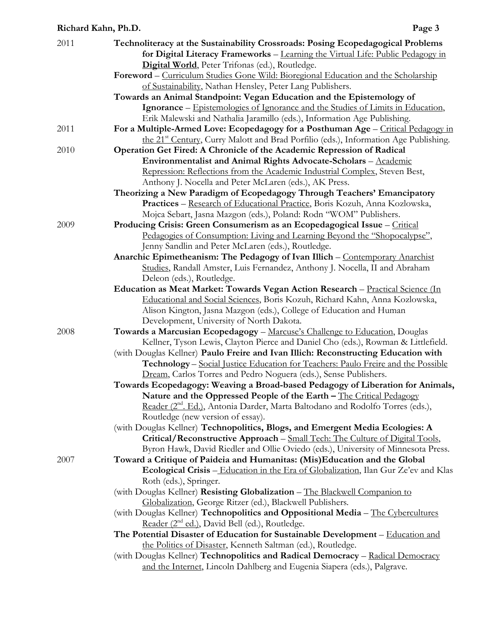### **Richard Kahn, Ph.D.**

| 2011 | Technoliteracy at the Sustainability Crossroads: Posing Ecopedagogical Problems<br>for Digital Literacy Frameworks - Learning the Virtual Life: Public Pedagogy in         |
|------|----------------------------------------------------------------------------------------------------------------------------------------------------------------------------|
|      | Digital World, Peter Trifonas (ed.), Routledge.                                                                                                                            |
|      | Foreword - Curriculum Studies Gone Wild: Bioregional Education and the Scholarship                                                                                         |
|      | of Sustainability, Nathan Hensley, Peter Lang Publishers.                                                                                                                  |
|      | Towards an Animal Standpoint: Vegan Education and the Epistemology of                                                                                                      |
|      | Ignorance – Epistemologies of Ignorance and the Studies of Limits in Education,                                                                                            |
|      | Erik Malewski and Nathalia Jaramillo (eds.), Information Age Publishing.                                                                                                   |
| 2011 | For a Multiple-Armed Love: Ecopedagogy for a Posthuman Age - Critical Pedagogy in                                                                                          |
| 2010 | the 21 <sup>st</sup> Century, Curry Malott and Brad Porfilio (eds.), Information Age Publishing.<br>Operation Get Fired: A Chronicle of the Academic Repression of Radical |
|      | Environmentalist and Animal Rights Advocate-Scholars - Academic                                                                                                            |
|      | Repression: Reflections from the Academic Industrial Complex, Steven Best,                                                                                                 |
|      | Anthony J. Nocella and Peter McLaren (eds.), AK Press.                                                                                                                     |
|      | Theorizing a New Paradigm of Ecopedagogy Through Teachers' Emancipatory                                                                                                    |
|      | Practices - Research of Educational Practice, Boris Kozuh, Anna Kozlowska,                                                                                                 |
|      | Mojca Sebart, Jasna Mazgon (eds.), Poland: Rodn "WOM" Publishers.                                                                                                          |
| 2009 | Producing Crisis: Green Consumerism as an Ecopedagogical Issue - Critical                                                                                                  |
|      | Pedagogies of Consumption: Living and Learning Beyond the "Shopocalypse",                                                                                                  |
|      | Jenny Sandlin and Peter McLaren (eds.), Routledge.                                                                                                                         |
|      | Anarchic Epimetheanism: The Pedagogy of Ivan Illich - Contemporary Anarchist                                                                                               |
|      | Studies, Randall Amster, Luis Fernandez, Anthony J. Nocella, II and Abraham                                                                                                |
|      | Deleon (eds.), Routledge.                                                                                                                                                  |
|      | Education as Meat Market: Towards Vegan Action Research - Practical Science (In                                                                                            |
|      | Educational and Social Sciences, Boris Kozuh, Richard Kahn, Anna Kozlowska,<br>Alison Kington, Jasna Mazgon (eds.), College of Education and Human                         |
|      | Development, University of North Dakota.                                                                                                                                   |
| 2008 | Towards a Marcusian Ecopedagogy - Marcuse's Challenge to Education, Douglas                                                                                                |
|      | Kellner, Tyson Lewis, Clayton Pierce and Daniel Cho (eds.), Rowman & Littlefield.                                                                                          |
|      | (with Douglas Kellner) Paulo Freire and Ivan Illich: Reconstructing Education with                                                                                         |
|      | Technology - Social Justice Education for Teachers: Paulo Freire and the Possible                                                                                          |
|      | Dream, Carlos Torres and Pedro Noguera (eds.), Sense Publishers.                                                                                                           |
|      | Towards Ecopedagogy: Weaving a Broad-based Pedagogy of Liberation for Animals,                                                                                             |
|      | Nature and the Oppressed People of the Earth - The Critical Pedagogy                                                                                                       |
|      | Reader (2 <sup>nd</sup> . Ed.), Antonia Darder, Marta Baltodano and Rodolfo Torres (eds.),                                                                                 |
|      | Routledge (new version of essay).                                                                                                                                          |
|      | (with Douglas Kellner) Technopolitics, Blogs, and Emergent Media Ecologies: A                                                                                              |
|      | Critical/Reconstructive Approach - Small Tech: The Culture of Digital Tools,                                                                                               |
|      | Byron Hawk, David Riedler and Ollie Oviedo (eds.), University of Minnesota Press.                                                                                          |
| 2007 | Toward a Critique of Paideia and Humanitas: (Mis)Education and the Global                                                                                                  |
|      | Ecological Crisis - Education in the Era of Globalization, Ilan Gur Ze'ev and Klas                                                                                         |
|      | Roth (eds.), Springer.                                                                                                                                                     |
|      | (with Douglas Kellner) Resisting Globalization - The Blackwell Companion to                                                                                                |
|      | Globalization, George Ritzer (ed.), Blackwell Publishers.                                                                                                                  |
|      | (with Douglas Kellner) Technopolitics and Oppositional Media - The Cybercultures                                                                                           |
|      | Reader (2 <sup>nd</sup> ed.), David Bell (ed.), Routledge.                                                                                                                 |
|      | The Potential Disaster of Education for Sustainable Development - Education and                                                                                            |
|      | the Politics of Disaster, Kenneth Saltman (ed.), Routledge.                                                                                                                |
|      | (with Douglas Kellner) Technopolitics and Radical Democracy - Radical Democracy                                                                                            |
|      | and the Internet, Lincoln Dahlberg and Eugenia Siapera (eds.), Palgrave.                                                                                                   |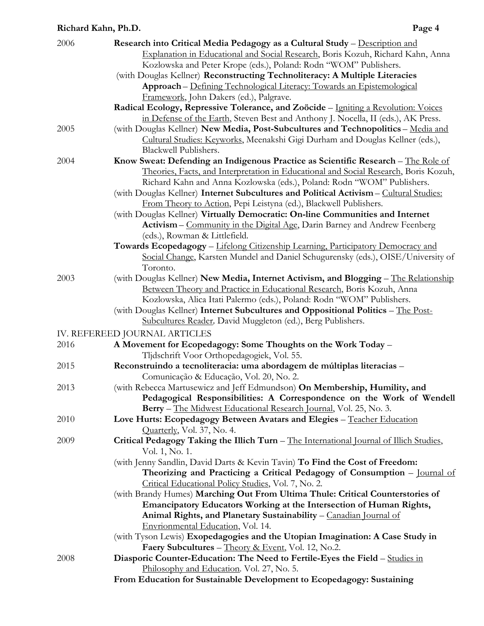| 2006 | Research into Critical Media Pedagogy as a Cultural Study - Description and                                                                      |
|------|--------------------------------------------------------------------------------------------------------------------------------------------------|
|      | Explanation in Educational and Social Research, Boris Kozuh, Richard Kahn, Anna                                                                  |
|      | Kozlowska and Peter Krope (eds.), Poland: Rodn "WOM" Publishers.                                                                                 |
|      | (with Douglas Kellner) Reconstructing Technoliteracy: A Multiple Literacies                                                                      |
|      | Approach - Defining Technological Literacy: Towards an Epistemological                                                                           |
|      | Framework, John Dakers (ed.), Palgrave.                                                                                                          |
|      | Radical Ecology, Repressive Tolerance, and Zoöcide - Igniting a Revolution: Voices                                                               |
|      | in Defense of the Earth, Steven Best and Anthony J. Nocella, II (eds.), AK Press.                                                                |
| 2005 | (with Douglas Kellner) New Media, Post-Subcultures and Technopolitics - Media and                                                                |
|      | Cultural Studies: Keyworks, Meenakshi Gigi Durham and Douglas Kellner (eds.),                                                                    |
|      | Blackwell Publishers.                                                                                                                            |
| 2004 | Know Sweat: Defending an Indigenous Practice as Scientific Research - The Role of                                                                |
|      | Theories, Facts, and Interpretation in Educational and Social Research, Boris Kozuh,                                                             |
|      | Richard Kahn and Anna Kozlowska (eds.), Poland: Rodn "WOM" Publishers.                                                                           |
|      | (with Douglas Kellner) Internet Subcultures and Political Activism - Cultural Studies:                                                           |
|      | From Theory to Action, Pepi Leistyna (ed.), Blackwell Publishers.                                                                                |
|      | (with Douglas Kellner) Virtually Democratic: On-line Communities and Internet                                                                    |
|      | Activism – Community in the Digital Age, Darin Barney and Andrew Feenberg                                                                        |
|      | (eds.), Rowman & Littlefield.                                                                                                                    |
|      | Towards Ecopedagogy - Lifelong Citizenship Learning, Participatory Democracy and                                                                 |
|      | Social Change, Karsten Mundel and Daniel Schugurensky (eds.), OISE/University of                                                                 |
|      | Toronto.                                                                                                                                         |
| 2003 | (with Douglas Kellner) New Media, Internet Activism, and Blogging - The Relationship                                                             |
|      | Between Theory and Practice in Educational Research, Boris Kozuh, Anna                                                                           |
|      | Kozlowska, Alica Itati Palermo (eds.), Poland: Rodn "WOM" Publishers.                                                                            |
|      | (with Douglas Kellner) Internet Subcultures and Oppositional Politics - The Post-<br>Subcultures Reader, David Muggleton (ed.), Berg Publishers. |
|      |                                                                                                                                                  |
|      | IV. REFEREED JOURNAL ARTICLES                                                                                                                    |
| 2016 | A Movement for Ecopedagogy: Some Thoughts on the Work Today -                                                                                    |
|      | Tljdschrift Voor Orthopedagogiek, Vol. 55.                                                                                                       |
| 2015 | Reconstruindo a tecnoliteracia: uma abordagem de múltiplas literacias -<br>Comunicação & Educação, Vol. 20, No. 2.                               |
| 2013 | (with Rebecca Martusewicz and Jeff Edmundson) On Membership, Humility, and                                                                       |
|      | Pedagogical Responsibilities: A Correspondence on the Work of Wendell                                                                            |
|      | Berry - The Midwest Educational Research Journal, Vol. 25, No. 3.                                                                                |
| 2010 | Love Hurts: Ecopedagogy Between Avatars and Elegies - Teacher Education                                                                          |
|      | Quarterly, Vol. 37, No. 4.                                                                                                                       |
| 2009 | Critical Pedagogy Taking the Illich Turn - The International Journal of Illich Studies,                                                          |
|      | Vol. 1, No. 1.                                                                                                                                   |
|      | (with Jenny Sandlin, David Darts & Kevin Tavin) To Find the Cost of Freedom:                                                                     |
|      | Theorizing and Practicing a Critical Pedagogy of Consumption - Journal of                                                                        |
|      | Critical Educational Policy Studies, Vol. 7, No. 2.                                                                                              |
|      | (with Brandy Humes) Marching Out From Ultima Thule: Critical Counterstories of                                                                   |
|      | Emancipatory Educators Working at the Intersection of Human Rights,                                                                              |
|      | Animal Rights, and Planetary Sustainability - Canadian Journal of                                                                                |
|      | Envrionmental Education, Vol. 14.                                                                                                                |
|      | (with Tyson Lewis) Exopedagogies and the Utopian Imagination: A Case Study in                                                                    |
|      | Faery Subcultures - Theory & Event, Vol. 12, No.2.                                                                                               |
| 2008 | Diasporic Counter-Education: The Need to Fertile-Eyes the Field - Studies in                                                                     |
|      | Philosophy and Education. Vol. 27, No. 5.                                                                                                        |
|      | From Education for Sustainable Development to Ecopedagogy: Sustaining                                                                            |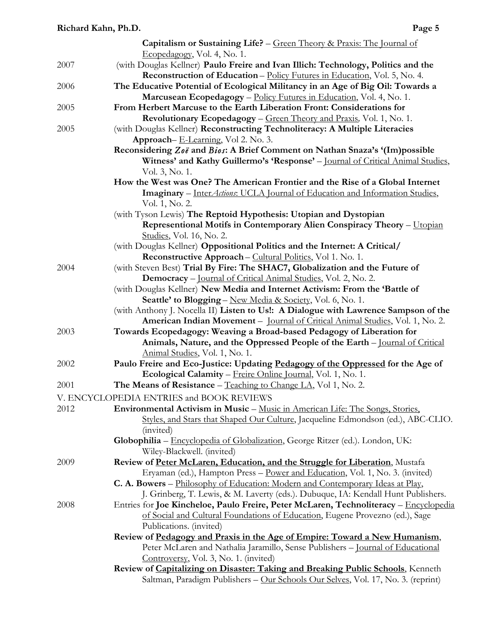|      | <b>Capitalism or Sustaining Life?</b> – $Green Theory & Praxis: The Journal of$                |
|------|------------------------------------------------------------------------------------------------|
|      | Ecopedagogy, Vol. 4, No. 1.                                                                    |
| 2007 | (with Douglas Kellner) Paulo Freire and Ivan Illich: Technology, Politics and the              |
|      | <b>Reconstruction of Education - Policy Futures in Education, Vol. 5, No. 4.</b>               |
| 2006 | The Educative Potential of Ecological Militancy in an Age of Big Oil: Towards a                |
|      | Marcusean Ecopedagogy - Policy Futures in Education, Vol. 4, No. 1.                            |
| 2005 | From Herbert Marcuse to the Earth Liberation Front: Considerations for                         |
|      |                                                                                                |
|      | <b>Revolutionary Ecopedagogy</b> – Green Theory and Praxis, Vol. 1, No. 1.                     |
| 2005 | (with Douglas Kellner) Reconstructing Technoliteracy: A Multiple Literacies                    |
|      | Approach-E-Learning, Vol 2. No. 3.                                                             |
|      | Reconsidering Zoë and Bios: A Brief Comment on Nathan Snaza's '(Im)possible                    |
|      | Witness' and Kathy Guillermo's 'Response' - Journal of Critical Animal Studies,                |
|      | Vol. 3, No. 1.                                                                                 |
|      | How the West was One? The American Frontier and the Rise of a Global Internet                  |
|      | Imaginary - InterActions: UCLA Journal of Education and Information Studies,<br>Vol. 1, No. 2. |
|      |                                                                                                |
|      | (with Tyson Lewis) The Reptoid Hypothesis: Utopian and Dystopian                               |
|      | Representional Motifs in Contemporary Alien Conspiracy Theory - Utopian                        |
|      | Studies, Vol. 16, No. 2.                                                                       |
|      | (with Douglas Kellner) Oppositional Politics and the Internet: A Critical/                     |
|      | Reconstructive Approach – Cultural Politics, Vol 1. No. 1.                                     |
| 2004 | (with Steven Best) Trial By Fire: The SHAC7, Globalization and the Future of                   |
|      | Democracy - Journal of Critical Animal Studies, Vol. 2, No. 2.                                 |
|      | (with Douglas Kellner) New Media and Internet Activism: From the 'Battle of                    |
|      | Seattle' to Blogging - New Media & Society, Vol. 6, No. 1.                                     |
|      | (with Anthony J. Nocella II) Listen to Us!: A Dialogue with Lawrence Sampson of the            |
|      | American Indian Movement - Journal of Critical Animal Studies, Vol. 1, No. 2.                  |
| 2003 | Towards Ecopedagogy: Weaving a Broad-based Pedagogy of Liberation for                          |
|      | Animals, Nature, and the Oppressed People of the Earth - Journal of Critical                   |
|      | Animal Studies, Vol. 1, No. 1.                                                                 |
| 2002 | Paulo Freire and Eco-Justice: Updating Pedagogy of the Oppressed for the Age of                |
|      | Ecological Calamity - Freire Online Journal, Vol. 1, No. 1.                                    |
| 2001 | The Means of Resistance – $Teaching to Change LA, Vol 1, No. 2.$                               |
|      | V. ENCYCLOPEDIA ENTRIES and BOOK REVIEWS                                                       |
| 2012 | Environmental Activism in Music - Music in American Life: The Songs, Stories,                  |
|      | Styles, and Stars that Shaped Our Culture, Jacqueline Edmondson (ed.), ABC-CLIO.               |
|      | (invited)                                                                                      |
|      |                                                                                                |
|      | Globophilia - Encyclopedia of Globalization, George Ritzer (ed.). London, UK:                  |
|      | Wiley-Blackwell. (invited)                                                                     |
| 2009 | Review of Peter McLaren, Education, and the Struggle for Liberation, Mustafa                   |
|      | Eryaman (ed.), Hampton Press - Power and Education, Vol. 1, No. 3. (invited)                   |
|      | C. A. Bowers – Philosophy of Education: Modern and Contemporary Ideas at Play,                 |
|      | J. Grinberg, T. Lewis, & M. Laverty (eds.). Dubuque, IA: Kendall Hunt Publishers.              |
| 2008 | Entries for Joe Kincheloe, Paulo Freire, Peter McLaren, Technoliteracy - Encyclopedia          |
|      | of Social and Cultural Foundations of Education, Eugene Provezno (ed.), Sage                   |
|      | Publications. (invited)                                                                        |
|      | Review of Pedagogy and Praxis in the Age of Empire: Toward a New Humanism,                     |
|      | Peter McLaren and Nathalia Jaramillo, Sense Publishers - Journal of Educational                |
|      | Controversy, Vol. 3, No. 1. (invited)                                                          |
|      | Review of Capitalizing on Disaster: Taking and Breaking Public Schools, Kenneth                |
|      | Saltman, Paradigm Publishers - Our Schools Our Selves, Vol. 17, No. 3. (reprint)               |
|      |                                                                                                |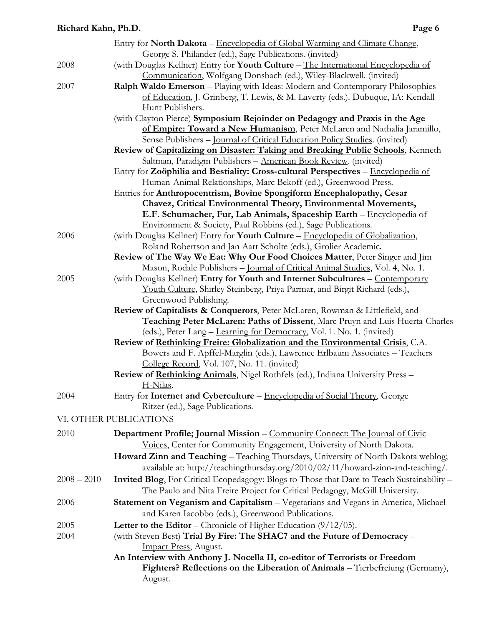|               | Entry for <b>North Dakota</b> – Encyclopedia of Global Warming and Climate Change,                                                                       |
|---------------|----------------------------------------------------------------------------------------------------------------------------------------------------------|
|               | George S. Philander (ed.), Sage Publications. (invited)                                                                                                  |
| 2008          | (with Douglas Kellner) Entry for Youth Culture - The International Encyclopedia of<br>Communication, Wolfgang Donsbach (ed.), Wiley-Blackwell. (invited) |
| 2007          | Ralph Waldo Emerson - Playing with Ideas: Modern and Contemporary Philosophies                                                                           |
|               | of Education, J. Grinberg, T. Lewis, & M. Laverty (eds.). Dubuque, IA: Kendall                                                                           |
|               | Hunt Publishers.                                                                                                                                         |
|               | (with Clayton Pierce) Symposium Rejoinder on Pedagogy and Praxis in the Age                                                                              |
|               | of Empire: Toward a New Humanism, Peter McLaren and Nathalia Jaramillo,                                                                                  |
|               | Sense Publishers - Journal of Critical Education Policy Studies. (invited)                                                                               |
|               | Review of Capitalizing on Disaster: Taking and Breaking Public Schools, Kenneth                                                                          |
|               | Saltman, Paradigm Publishers - American Book Review. (invited)                                                                                           |
|               | Entry for Zoöphilia and Bestiality: Cross-cultural Perspectives - Encyclopedia of                                                                        |
|               | Human-Animal Relationships, Marc Bekoff (ed.), Greenwood Press.                                                                                          |
|               | Entries for Anthropocentrism, Bovine Spongiform Encephalopathy, Cesar                                                                                    |
|               | Chavez, Critical Environmental Theory, Environmental Movements,                                                                                          |
|               | E.F. Schumacher, Fur, Lab Animals, Spaceship Earth - Encyclopedia of                                                                                     |
|               | Environment & Society, Paul Robbins (ed.), Sage Publications.                                                                                            |
| 2006          | (with Douglas Kellner) Entry for Youth Culture - Encyclopedia of Globalization,                                                                          |
|               | Roland Robertson and Jan Aart Scholte (eds.), Grolier Academic.                                                                                          |
|               | Review of The Way We Eat: Why Our Food Choices Matter, Peter Singer and Jim                                                                              |
|               | Mason, Rodale Publishers - Journal of Critical Animal Studies, Vol. 4, No. 1.                                                                            |
| 2005          | (with Douglas Kellner) Entry for Youth and Internet Subcultures - Contemporary                                                                           |
|               | Youth Culture, Shirley Steinberg, Priya Parmar, and Birgit Richard (eds.),                                                                               |
|               | Greenwood Publishing.                                                                                                                                    |
|               | Review of Capitalists & Conquerors, Peter McLaren, Rowman & Littlefield, and                                                                             |
|               | Teaching Peter McLaren: Paths of Dissent, Marc Pruyn and Luis Huerta-Charles                                                                             |
|               | (eds.), Peter Lang - Learning for Democracy, Vol. 1. No. 1. (invited)                                                                                    |
|               | Review of Rethinking Freire: Globalization and the Environmental Crisis, C.A.                                                                            |
|               | Bowers and F. Apffel-Marglin (eds.), Lawrence Erlbaum Associates - Teachers                                                                              |
|               | College Record, Vol. 107, No. 11. (invited)                                                                                                              |
|               | Review of Rethinking Animals, Nigel Rothfels (ed.), Indiana University Press -                                                                           |
|               | H-Nilas.                                                                                                                                                 |
| 2004          | Entry for Internet and Cyberculture - Encyclopedia of Social Theory, George                                                                              |
|               | Ritzer (ed.), Sage Publications.                                                                                                                         |
|               | VI. OTHER PUBLICATIONS                                                                                                                                   |
|               |                                                                                                                                                          |
| 2010          | Department Profile; Journal Mission – Community Connect: The Journal of Civic                                                                            |
|               | Voices, Center for Community Engagement, University of North Dakota.                                                                                     |
|               | Howard Zinn and Teaching - Teaching Thursdays, University of North Dakota weblog;                                                                        |
|               | available at: http://teachingthursday.org/2010/02/11/howard-zinn-and-teaching/.                                                                          |
| $2008 - 2010$ | Invited Blog, For Critical Ecopedagogy: Blogs to Those that Dare to Teach Sustainability -                                                               |
|               | The Paulo and Nita Freire Project for Critical Pedagogy, McGill University.                                                                              |
| 2006          | Statement on Veganism and Capitalism - Vegetarians and Vegans in America, Michael                                                                        |
|               | and Karen Iacobbo (eds.), Greenwood Publications.                                                                                                        |
| 2005          | Letter to the Editor – Chronicle of Higher Education $(9/12/05)$ .                                                                                       |
| 2004          | (with Steven Best) Trial By Fire: The SHAC7 and the Future of Democracy -                                                                                |
|               | Impact Press, August.                                                                                                                                    |
|               | An Interview with Anthony J. Nocella II, co-editor of Terrorists or Freedom                                                                              |
|               | <b>Fighters? Reflections on the Liberation of Animals</b> – Tierbefreiung (Germany),                                                                     |
|               | August.                                                                                                                                                  |
|               |                                                                                                                                                          |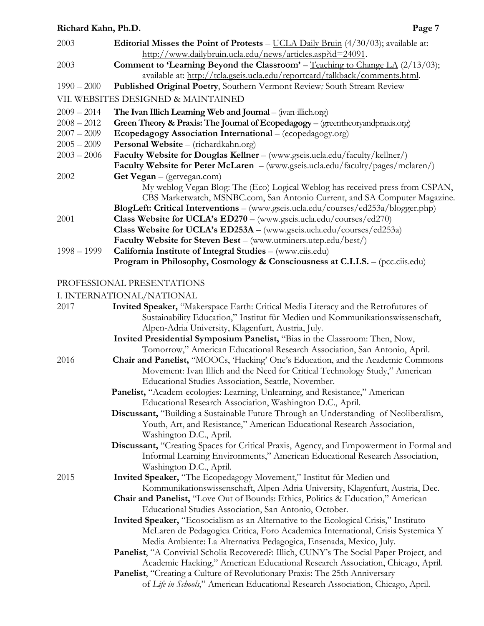| 2003          | Editorial Misses the Point of Protests - UCLA Daily Bruin (4/30/03); available at:      |
|---------------|-----------------------------------------------------------------------------------------|
|               | http://www.dailybruin.ucla.edu/news/articles.asp?id=24091.                              |
| 2003          | <b>Comment to 'Learning Beyond the Classroom'</b> – Teaching to Change LA $(2/13/03)$ ; |
|               | available at: http://tcla.gseis.ucla.edu/reportcard/talkback/comments.html.             |
| $1990 - 2000$ | Published Original Poetry, Southern Vermont Review, South Stream Review                 |
|               | VII. WEBSITES DESIGNED & MAINTAINED                                                     |
| $2009 - 2014$ | The Ivan Illich Learning Web and Journal – (ivan-illich.org)                            |
| $2008 - 2012$ | Green Theory & Praxis: The Journal of Ecopedagogy $-$ (greentheory and praxis.org)      |
| $2007 - 2009$ | Ecopedagogy Association International – (ecopedagogy.org)                               |
| $2005 - 2009$ | Personal Website - (richardkahn.org)                                                    |
| $2003 - 2006$ | Faculty Website for Douglas Kellner - (www.gseis.ucla.edu/faculty/kellner/)             |
|               | <b>Faculty Website for Peter McLaren</b> – (www.gseis.ucla.edu/faculty/pages/mclaren/)  |
| 2002          | Get Vegan $-$ (getvegan.com)                                                            |
|               | My weblog <u>Vegan Blog: The (Eco) Logical Weblog</u> has received press from CSPAN,    |
|               | CBS Marketwatch, MSNBC.com, San Antonio Current, and SA Computer Magazine.              |
|               | BlogLeft: Critical Interventions - (www.gseis.ucla.edu/courses/ed253a/blogger.php)      |
| 2001          | <b>Class Website for UCLA's ED270</b> – (www.gseis.ucla.edu/courses/ed270)              |
|               | Class Website for UCLA's ED253A - (www.gseis.ucla.edu/courses/ed253a)                   |
|               | <b>Faculty Website for Steven Best</b> – (www.utminers.utep.edu/best/)                  |
| $1998 - 1999$ | California Institute of Integral Studies - (www.ciis.edu)                               |
|               | Program in Philosophy, Cosmology & Consciousness at C.I.I.S. - (pcc.ciis.edu)           |

#### PROFESSIONAL PRESENTATIONS

#### I. INTERNATIONAL/NATIONAL

| 2017 | Invited Speaker, "Makerspace Earth: Critical Media Literacy and the Retrofutures of     |
|------|-----------------------------------------------------------------------------------------|
|      | Sustainability Education," Institut für Medien und Kommunikationswissenschaft,          |
|      | Alpen-Adria University, Klagenfurt, Austria, July.                                      |
|      | Invited Presidential Symposium Panelist, "Bias in the Classroom: Then, Now,             |
|      | Tomorrow," American Educational Research Association, San Antonio, April.               |
| 2016 | Chair and Panelist, "MOOCs, 'Hacking' One's Education, and the Academic Commons         |
|      | Movement: Ivan Illich and the Need for Critical Technology Study," American             |
|      | Educational Studies Association, Seattle, November.                                     |
|      | Panelist, "Academ-ecologies: Learning, Unlearning, and Resistance," American            |
|      | Educational Research Association, Washington D.C., April.                               |
|      | Discussant, "Building a Sustainable Future Through an Understanding of Neoliberalism,   |
|      | Youth, Art, and Resistance," American Educational Research Association,                 |
|      | Washington D.C., April.                                                                 |
|      | Discussant, "Creating Spaces for Critical Praxis, Agency, and Empowerment in Formal and |
|      | Informal Learning Environments," American Educational Research Association,             |
|      | Washington D.C., April.                                                                 |
| 2015 | Invited Speaker, "The Ecopedagogy Movement," Institut für Medien und                    |
|      | Kommunikationswissenschaft, Alpen-Adria University, Klagenfurt, Austria, Dec.           |
|      | Chair and Panelist, "Love Out of Bounds: Ethics, Politics & Education," American        |
|      | Educational Studies Association, San Antonio, October.                                  |
|      | Invited Speaker, "Ecosocialism as an Alternative to the Ecological Crisis," Instituto   |
|      | McLaren de Pedagogica Critica, Foro Academica International, Crisis Systemica Y         |
|      | Media Ambiente: La Alternativa Pedagogica, Ensenada, Mexico, July.                      |
|      | Panelist, "A Convivial Scholia Recovered?: Illich, CUNY's The Social Paper Project, and |
|      | Academic Hacking," American Educational Research Association, Chicago, April.           |
|      | <b>Panelist</b> , "Creating a Culture of Revolutionary Praxis: The 25th Anniversary     |
|      | of Life in Schools," American Educational Research Association, Chicago, April.         |
|      |                                                                                         |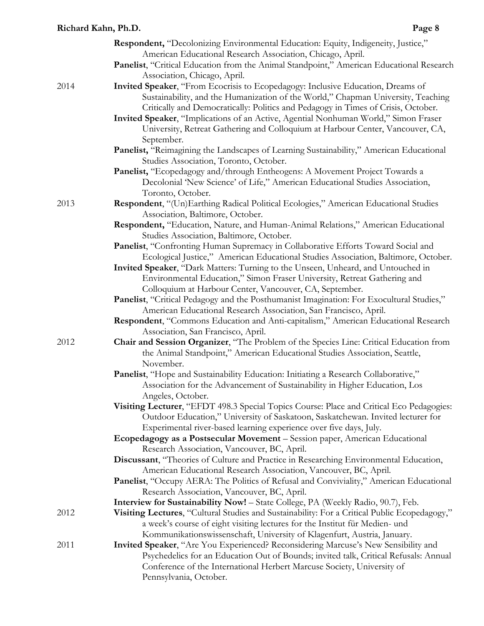|      | <b>Respondent,</b> "Decolonizing Environmental Education: Equity, Indigeneity, Justice,"     |
|------|----------------------------------------------------------------------------------------------|
|      | American Educational Research Association, Chicago, April.                                   |
|      | Panelist, "Critical Education from the Animal Standpoint," American Educational Research     |
|      | Association, Chicago, April.                                                                 |
| 2014 | Invited Speaker, "From Ecocrisis to Ecopedagogy: Inclusive Education, Dreams of              |
|      | Sustainability, and the Humanization of the World," Chapman University, Teaching             |
|      | Critically and Democratically: Politics and Pedagogy in Times of Crisis, October.            |
|      | Invited Speaker, "Implications of an Active, Agential Nonhuman World," Simon Fraser          |
|      | University, Retreat Gathering and Colloquium at Harbour Center, Vancouver, CA,               |
|      | September.                                                                                   |
|      | Panelist, "Reimagining the Landscapes of Learning Sustainability," American Educational      |
|      | Studies Association, Toronto, October.                                                       |
|      | Panelist, "Ecopedagogy and/through Entheogens: A Movement Project Towards a                  |
|      | Decolonial 'New Science' of Life," American Educational Studies Association,                 |
|      | Toronto, October.                                                                            |
| 2013 | Respondent, "(Un)Earthing Radical Political Ecologies," American Educational Studies         |
|      | Association, Baltimore, October.                                                             |
|      | Respondent, "Education, Nature, and Human-Animal Relations," American Educational            |
|      | Studies Association, Baltimore, October.                                                     |
|      | Panelist, "Confronting Human Supremacy in Collaborative Efforts Toward Social and            |
|      | Ecological Justice," American Educational Studies Association, Baltimore, October.           |
|      | Invited Speaker, "Dark Matters: Turning to the Unseen, Unheard, and Untouched in             |
|      | Environmental Education," Simon Fraser University, Retreat Gathering and                     |
|      | Colloquium at Harbour Center, Vancouver, CA, September.                                      |
|      | Panelist, "Critical Pedagogy and the Posthumanist Imagination: For Exocultural Studies,"     |
|      | American Educational Research Association, San Francisco, April.                             |
|      | Respondent, "Commons Education and Anti-capitalism," American Educational Research           |
|      | Association, San Francisco, April.                                                           |
| 2012 | Chair and Session Organizer, "The Problem of the Species Line: Critical Education from       |
|      | the Animal Standpoint," American Educational Studies Association, Seattle,                   |
|      | November.                                                                                    |
|      | Panelist, "Hope and Sustainability Education: Initiating a Research Collaborative,"          |
|      | Association for the Advancement of Sustainability in Higher Education, Los                   |
|      | Angeles, October.                                                                            |
|      | Visiting Lecturer, "EFDT 498.3 Special Topics Course: Place and Critical Eco Pedagogies:     |
|      | Outdoor Education," University of Saskatoon, Saskatchewan. Invited lecturer for              |
|      | Experimental river-based learning experience over five days, July.                           |
|      | Ecopedagogy as a Postsecular Movement - Session paper, American Educational                  |
|      | Research Association, Vancouver, BC, April.                                                  |
|      | Discussant, "Theories of Culture and Practice in Researching Environmental Education,        |
|      | American Educational Research Association, Vancouver, BC, April.                             |
|      | Panelist, "Occupy AERA: The Politics of Refusal and Conviviality," American Educational      |
|      | Research Association, Vancouver, BC, April.                                                  |
|      | <b>Interview for Sustainability Now!</b> – State College, PA (Weekly Radio, 90.7), Feb.      |
| 2012 | Visiting Lectures, "Cultural Studies and Sustainability: For a Critical Public Ecopedagogy," |
|      | a week's course of eight visiting lectures for the Institut für Medien- und                  |
|      | Kommunikationswissenschaft, University of Klagenfurt, Austria, January.                      |
| 2011 | Invited Speaker, "Are You Experienced? Reconsidering Marcuse's New Sensibility and           |
|      | Psychedelics for an Education Out of Bounds; invited talk, Critical Refusals: Annual         |
|      | Conference of the International Herbert Marcuse Society, University of                       |
|      | Pennsylvania, October.                                                                       |
|      |                                                                                              |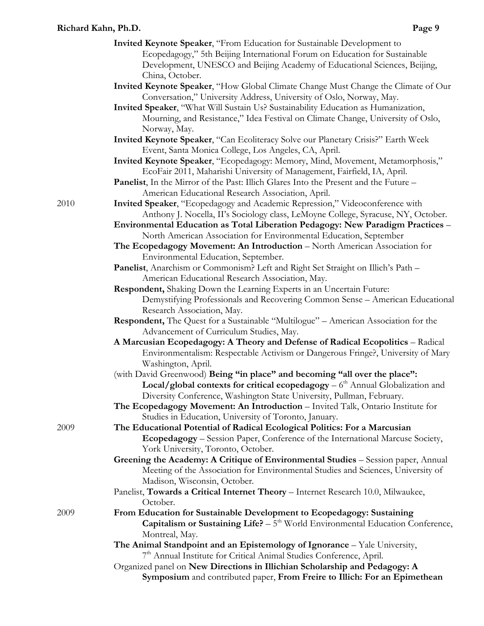- **Invited Keynote Speaker**, "From Education for Sustainable Development to Ecopedagogy," 5th Beijing International Forum on Education for Sustainable Development, UNESCO and Beijing Academy of Educational Sciences, Beijing, China, October.
- **Invited Keynote Speaker**, "How Global Climate Change Must Change the Climate of Our Conversation," University Address, University of Oslo, Norway, May.
- **Invited Speaker**, "What Will Sustain Us? Sustainability Education as Humanization, Mourning, and Resistance," Idea Festival on Climate Change, University of Oslo, Norway, May.
- **Invited Keynote Speaker**, "Can Ecoliteracy Solve our Planetary Crisis?" Earth Week Event, Santa Monica College, Los Angeles, CA, April.
- **Invited Keynote Speaker**, "Ecopedagogy: Memory, Mind, Movement, Metamorphosis," EcoFair 2011, Maharishi University of Management, Fairfield, IA, April.
- **Panelist**, In the Mirror of the Past: Illich Glares Into the Present and the Future American Educational Research Association, April.
- **Invited Speaker**, "Ecopedagogy and Academic Repression," Videoconference with Anthony J. Nocella, II's Sociology class, LeMoyne College, Syracuse, NY, October.

**Environmental Education as Total Liberation Pedagogy: New Paradigm Practices** – North American Association for Environmental Education, September

- **The Ecopedagogy Movement: An Introduction** North American Association for Environmental Education, September.
- **Panelist**, Anarchism or Commonism? Left and Right Set Straight on Illich's Path American Educational Research Association, May.
- **Respondent,** Shaking Down the Learning Experts in an Uncertain Future: Demystifying Professionals and Recovering Common Sense – American Educational Research Association, May.
- **Respondent,** The Quest for a Sustainable "Multilogue" American Association for the Advancement of Curriculum Studies, May.
- **A Marcusian Ecopedagogy: A Theory and Defense of Radical Ecopolitics** Radical Environmentalism: Respectable Activism or Dangerous Fringe?, University of Mary Washington, April.
- (with David Greenwood) **Being "in place" and becoming "all over the place":**  Local/global contexts for critical ecopedagogy – 6<sup>th</sup> Annual Globalization and Diversity Conference, Washington State University, Pullman, February.
- **The Ecopedagogy Movement: An Introduction**  Invited Talk, Ontario Institute for Studies in Education, University of Toronto, January.
- **The Educational Potential of Radical Ecological Politics: For a Marcusian Ecopedagogy** – Session Paper, Conference of the International Marcuse Society, York University, Toronto, October.
	- **Greening the Academy: A Critique of Environmental Studies** Session paper, Annual Meeting of the Association for Environmental Studies and Sciences, University of Madison, Wisconsin, October*.*
	- Panelist, **Towards a Critical Internet Theory** Internet Research 10.0, Milwaukee, October.
- 2009 **From Education for Sustainable Development to Ecopedagogy: Sustaining Capitalism or Sustaining Life?**  $-5<sup>th</sup>$  World Environmental Education Conference, Montreal, May.
	- **The Animal Standpoint and an Epistemology of Ignorance** Yale University, 7<sup>th</sup> Annual Institute for Critical Animal Studies Conference, April.
	- Organized panel on **New Directions in Illichian Scholarship and Pedagogy: A Symposium** and contributed paper, **From Freire to Illich: For an Epimethean**

2010

2009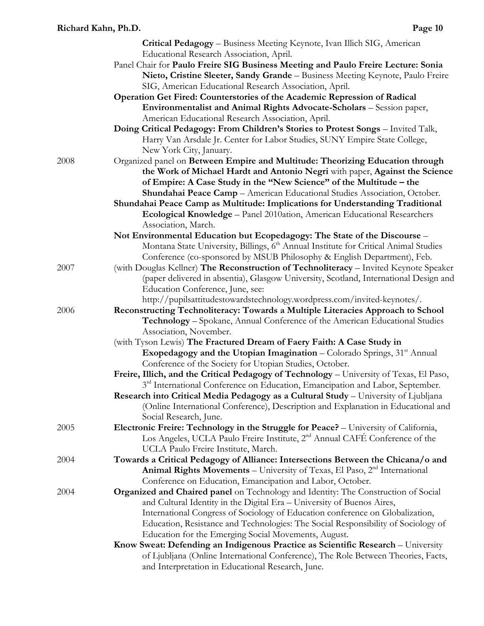|      | <b>Critical Pedagogy</b> – Business Meeting Keynote, Ivan Illich SIG, American                   |
|------|--------------------------------------------------------------------------------------------------|
|      | Educational Research Association, April.                                                         |
|      | Panel Chair for Paulo Freire SIG Business Meeting and Paulo Freire Lecture: Sonia                |
|      | Nieto, Cristine Sleeter, Sandy Grande - Business Meeting Keynote, Paulo Freire                   |
|      | SIG, American Educational Research Association, April.                                           |
|      | Operation Get Fired: Counterstories of the Academic Repression of Radical                        |
|      | Environmentalist and Animal Rights Advocate-Scholars - Session paper,                            |
|      | American Educational Research Association, April.                                                |
|      | Doing Critical Pedagogy: From Children's Stories to Protest Songs - Invited Talk,                |
|      | Harry Van Arsdale Jr. Center for Labor Studies, SUNY Empire State College,                       |
|      | New York City, January.                                                                          |
| 2008 | Organized panel on Between Empire and Multitude: Theorizing Education through                    |
|      | the Work of Michael Hardt and Antonio Negri with paper, Against the Science                      |
|      | of Empire: A Case Study in the "New Science" of the Multitude - the                              |
|      | Shundahai Peace Camp - American Educational Studies Association, October.                        |
|      |                                                                                                  |
|      | Shundahai Peace Camp as Multitude: Implications for Understanding Traditional                    |
|      | Ecological Knowledge - Panel 2010ation, American Educational Researchers                         |
|      | Association, March.                                                                              |
|      | Not Environmental Education but Ecopedagogy: The State of the Discourse -                        |
|      | Montana State University, Billings, 6 <sup>th</sup> Annual Institute for Critical Animal Studies |
|      | Conference (co-sponsored by MSUB Philosophy & English Department), Feb.                          |
| 2007 | (with Douglas Kellner) The Reconstruction of Technoliteracy - Invited Keynote Speaker            |
|      | (paper delivered in absentia), Glasgow University, Scotland, International Design and            |
|      | Education Conference, June, see:                                                                 |
|      | http://pupilsattitudestowardstechnology.wordpress.com/invited-keynotes/.                         |
| 2006 | Reconstructing Technoliteracy: Towards a Multiple Literacies Approach to School                  |
|      | Technology - Spokane, Annual Conference of the American Educational Studies                      |
|      | Association, November.                                                                           |
|      | (with Tyson Lewis) The Fractured Dream of Faery Faith: A Case Study in                           |
|      | <b>Exopedagogy and the Utopian Imagination</b> – Colorado Springs, $31st$ Annual                 |
|      | Conference of the Society for Utopian Studies, October.                                          |
|      | Freire, Illich, and the Critical Pedagogy of Technology - University of Texas, El Paso,          |
|      | 3 <sup>rd</sup> International Conference on Education, Emancipation and Labor, September.        |
|      | Research into Critical Media Pedagogy as a Cultural Study - University of Ljubljana              |
|      | (Online International Conference), Description and Explanation in Educational and                |
|      | Social Research, June.                                                                           |
| 2005 | Electronic Freire: Technology in the Struggle for Peace? - University of California,             |
|      | Los Angeles, UCLA Paulo Freire Institute, 2 <sup>nd</sup> Annual CAFÉ Conference of the          |
|      | UCLA Paulo Freire Institute, March.                                                              |
| 2004 | Towards a Critical Pedagogy of Alliance: Intersections Between the Chicana/o and                 |
|      | Animal Rights Movements - University of Texas, El Paso, 2 <sup>nd</sup> International            |
|      | Conference on Education, Emancipation and Labor, October.                                        |
| 2004 | Organized and Chaired panel on Technology and Identity: The Construction of Social               |
|      | and Cultural Identity in the Digital Era - University of Buenos Aires,                           |
|      | International Congress of Sociology of Education conference on Globalization,                    |
|      | Education, Resistance and Technologies: The Social Responsibility of Sociology of                |
|      | Education for the Emerging Social Movements, August.                                             |
|      | Know Sweat: Defending an Indigenous Practice as Scientific Research - University                 |
|      | of Ljubljana (Online International Conference), The Role Between Theories, Facts,                |
|      | and Interpretation in Educational Research, June.                                                |
|      |                                                                                                  |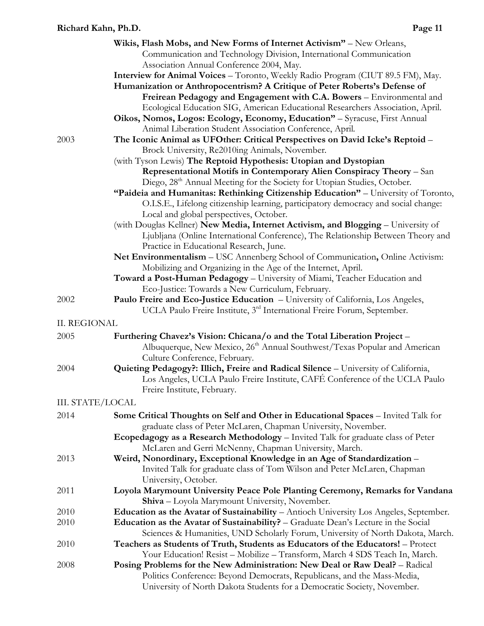|                         | Wikis, Flash Mobs, and New Forms of Internet Activism" – New Orleans,                         |
|-------------------------|-----------------------------------------------------------------------------------------------|
|                         | Communication and Technology Division, International Communication                            |
|                         | Association Annual Conference 2004, May.                                                      |
|                         | Interview for Animal Voices - Toronto, Weekly Radio Program (CIUT 89.5 FM), May.              |
|                         | Humanization or Anthropocentrism? A Critique of Peter Roberts's Defense of                    |
|                         | Freirean Pedagogy and Engagement with C.A. Bowers - Environmental and                         |
|                         | Ecological Education SIG, American Educational Researchers Association, April.                |
|                         | Oikos, Nomos, Logos: Ecology, Economy, Education" - Syracuse, First Annual                    |
|                         | Animal Liberation Student Association Conference, April.                                      |
| 2003                    | The Iconic Animal as UFOther: Critical Perspectives on David Icke's Reptoid -                 |
|                         | Brock University, Re2010ing Animals, November.                                                |
|                         | (with Tyson Lewis) The Reptoid Hypothesis: Utopian and Dystopian                              |
|                         | Representational Motifs in Contemporary Alien Conspiracy Theory - San                         |
|                         | Diego, 28 <sup>th</sup> Annual Meeting for the Society for Utopian Studies, October.          |
|                         | "Paideia and Humanitas: Rethinking Citizenship Education" - University of Toronto,            |
|                         | O.I.S.E., Lifelong citizenship learning, participatory democracy and social change:           |
|                         |                                                                                               |
|                         | Local and global perspectives, October.                                                       |
|                         | (with Douglas Kellner) New Media, Internet Activism, and Blogging - University of             |
|                         | Ljubljana (Online International Conference), The Relationship Between Theory and              |
|                         | Practice in Educational Research, June.                                                       |
|                         | Net Environmentalism - USC Annenberg School of Communication, Online Activism:                |
|                         | Mobilizing and Organizing in the Age of the Internet, April.                                  |
|                         | Toward a Post-Human Pedagogy - University of Miami, Teacher Education and                     |
|                         | Eco-Justice: Towards a New Curriculum, February.                                              |
| 2002                    | Paulo Freire and Eco-Justice Education - University of California, Los Angeles,               |
|                         | UCLA Paulo Freire Institute, 3 <sup>rd</sup> International Freire Forum, September.           |
| <b>II. REGIONAL</b>     |                                                                                               |
| 2005                    | Furthering Chavez's Vision: Chicana/o and the Total Liberation Project –                      |
|                         | Albuquerque, New Mexico, 26 <sup>th</sup> Annual Southwest/Texas Popular and American         |
|                         | Culture Conference, February.                                                                 |
| 2004                    | Quieting Pedagogy?: Illich, Freire and Radical Silence - University of California,            |
|                         | Los Angeles, UCLA Paulo Freire Institute, CAFÉ Conference of the UCLA Paulo                   |
|                         | Freire Institute, February.                                                                   |
| <b>III. STATE/LOCAL</b> |                                                                                               |
|                         |                                                                                               |
| 2014                    | Some Critical Thoughts on Self and Other in Educational Spaces - Invited Talk for             |
|                         | graduate class of Peter McLaren, Chapman University, November.                                |
|                         | Ecopedagogy as a Research Methodology - Invited Talk for graduate class of Peter              |
|                         | McLaren and Gerri McNenny, Chapman University, March.                                         |
| 2013                    | Weird, Nonordinary, Exceptional Knowledge in an Age of Standardization -                      |
|                         | Invited Talk for graduate class of Tom Wilson and Peter McLaren, Chapman                      |
|                         | University, October.                                                                          |
| 2011                    | Loyola Marymount University Peace Pole Planting Ceremony, Remarks for Vandana                 |
|                         | Shiva - Loyola Marymount University, November.                                                |
| 2010                    | <b>Education as the Avatar of Sustainability</b> – Antioch University Los Angeles, September. |
| 2010                    | Education as the Avatar of Sustainability? - Graduate Dean's Lecture in the Social            |
|                         | Sciences & Humanities, UND Scholarly Forum, University of North Dakota, March.                |
| 2010                    | Teachers as Students of Truth, Students as Educators of the Educators! - Protect              |
|                         | Your Education! Resist - Mobilize - Transform, March 4 SDS Teach In, March.                   |
| 2008                    | Posing Problems for the New Administration: New Deal or Raw Deal? - Radical                   |
|                         | Politics Conference: Beyond Democrats, Republicans, and the Mass-Media,                       |
|                         | University of North Dakota Students for a Democratic Society, November.                       |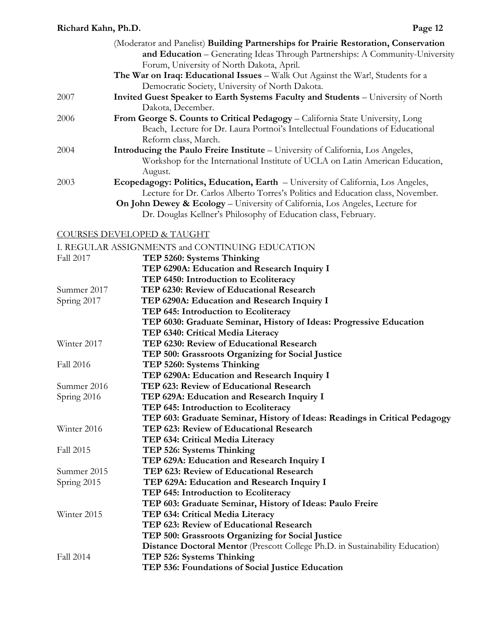|      | (Moderator and Panelist) Building Partnerships for Prairie Restoration, Conservation    |
|------|-----------------------------------------------------------------------------------------|
|      | and Education - Generating Ideas Through Partnerships: A Community-University           |
|      | Forum, University of North Dakota, April.                                               |
|      | <b>The War on Iraq: Educational Issues</b> – Walk Out Against the War!, Students for a  |
|      | Democratic Society, University of North Dakota.                                         |
| 2007 | Invited Guest Speaker to Earth Systems Faculty and Students - University of North       |
|      | Dakota, December.                                                                       |
| 2006 | From George S. Counts to Critical Pedagogy – California State University, Long          |
|      | Beach, Lecture for Dr. Laura Portnoi's Intellectual Foundations of Educational          |
|      | Reform class, March.                                                                    |
| 2004 | <b>Introducing the Paulo Freire Institute – University of California, Los Angeles,</b>  |
|      | Workshop for the International Institute of UCLA on Latin American Education,           |
|      | August.                                                                                 |
| 2003 | Ecopedagogy: Politics, Education, Earth - University of California, Los Angeles,        |
|      | Lecture for Dr. Carlos Alberto Torres's Politics and Education class, November.         |
|      | <b>On John Dewey &amp; Ecology</b> – University of California, Los Angeles, Lecture for |
|      | Dr. Douglas Kellner's Philosophy of Education class, February.                          |

#### COURSES DEVELOPED & TAUGHT

|                  | I. REGULAR ASSIGNMENTS and CONTINUING EDUCATION                               |
|------------------|-------------------------------------------------------------------------------|
| Fall 2017        | TEP 5260: Systems Thinking                                                    |
|                  | TEP 6290A: Education and Research Inquiry I                                   |
|                  | TEP 6450: Introduction to Ecoliteracy                                         |
| Summer 2017      | TEP 6230: Review of Educational Research                                      |
| Spring 2017      | TEP 6290A: Education and Research Inquiry I                                   |
|                  | TEP 645: Introduction to Ecoliteracy                                          |
|                  | TEP 6030: Graduate Seminar, History of Ideas: Progressive Education           |
|                  | TEP 6340: Critical Media Literacy                                             |
| Winter 2017      | TEP 6230: Review of Educational Research                                      |
|                  | TEP 500: Grassroots Organizing for Social Justice                             |
| Fall 2016        | TEP 5260: Systems Thinking                                                    |
|                  | TEP 6290A: Education and Research Inquiry I                                   |
| Summer 2016      | TEP 623: Review of Educational Research                                       |
| Spring 2016      | TEP 629A: Education and Research Inquiry I                                    |
|                  | TEP 645: Introduction to Ecoliteracy                                          |
|                  | TEP 603: Graduate Seminar, History of Ideas: Readings in Critical Pedagogy    |
| Winter 2016      | TEP 623: Review of Educational Research                                       |
|                  | TEP 634: Critical Media Literacy                                              |
| <b>Fall 2015</b> | TEP 526: Systems Thinking                                                     |
|                  | TEP 629A: Education and Research Inquiry I                                    |
| Summer 2015      | TEP 623: Review of Educational Research                                       |
| Spring 2015      | TEP 629A: Education and Research Inquiry I                                    |
|                  | TEP 645: Introduction to Ecoliteracy                                          |
|                  | TEP 603: Graduate Seminar, History of Ideas: Paulo Freire                     |
| Winter 2015      | TEP 634: Critical Media Literacy                                              |
|                  | TEP 623: Review of Educational Research                                       |
|                  | TEP 500: Grassroots Organizing for Social Justice                             |
|                  | Distance Doctoral Mentor (Prescott College Ph.D. in Sustainability Education) |
| <b>Fall 2014</b> | TEP 526: Systems Thinking                                                     |
|                  | TEP 536: Foundations of Social Justice Education                              |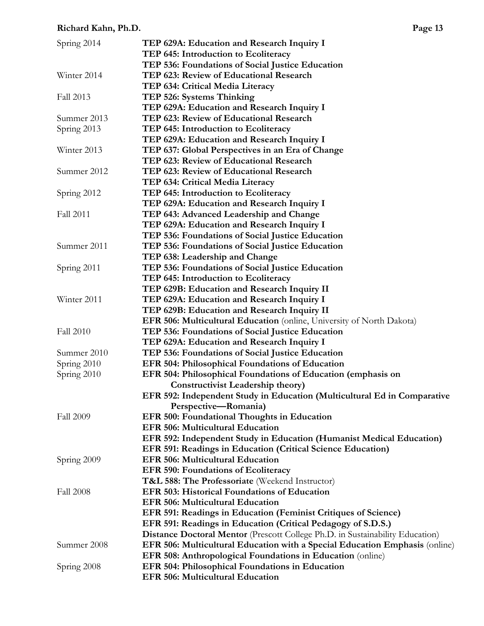| Spring 2014      | TEP 629A: Education and Research Inquiry I                                    |
|------------------|-------------------------------------------------------------------------------|
|                  | TEP 645: Introduction to Ecoliteracy                                          |
|                  | TEP 536: Foundations of Social Justice Education                              |
| Winter 2014      | TEP 623: Review of Educational Research                                       |
|                  | TEP 634: Critical Media Literacy                                              |
| Fall 2013        | TEP 526: Systems Thinking                                                     |
|                  | TEP 629A: Education and Research Inquiry I                                    |
| Summer 2013      | TEP 623: Review of Educational Research                                       |
| Spring 2013      | TEP 645: Introduction to Ecoliteracy                                          |
|                  | TEP 629A: Education and Research Inquiry I                                    |
| Winter 2013      | TEP 637: Global Perspectives in an Era of Change                              |
|                  | TEP 623: Review of Educational Research                                       |
| Summer 2012      | TEP 623: Review of Educational Research                                       |
|                  | TEP 634: Critical Media Literacy                                              |
| Spring 2012      | TEP 645: Introduction to Ecoliteracy                                          |
|                  | TEP 629A: Education and Research Inquiry I                                    |
| <b>Fall 2011</b> | TEP 643: Advanced Leadership and Change                                       |
|                  | TEP 629A: Education and Research Inquiry I                                    |
|                  | TEP 536: Foundations of Social Justice Education                              |
| Summer 2011      | TEP 536: Foundations of Social Justice Education                              |
|                  |                                                                               |
|                  | TEP 638: Leadership and Change                                                |
| Spring 2011      | TEP 536: Foundations of Social Justice Education                              |
|                  | TEP 645: Introduction to Ecoliteracy                                          |
|                  | TEP 629B: Education and Research Inquiry II                                   |
| Winter 2011      | TEP 629A: Education and Research Inquiry I                                    |
|                  | TEP 629B: Education and Research Inquiry II                                   |
|                  | EFR 506: Multicultural Education (online, University of North Dakota)         |
| <b>Fall 2010</b> | TEP 536: Foundations of Social Justice Education                              |
|                  | TEP 629A: Education and Research Inquiry I                                    |
| Summer 2010      | TEP 536: Foundations of Social Justice Education                              |
| Spring 2010      | EFR 504: Philosophical Foundations of Education                               |
| Spring 2010      | EFR 504: Philosophical Foundations of Education (emphasis on                  |
|                  | <b>Constructivist Leadership theory</b> )                                     |
|                  | EFR 592: Independent Study in Education (Multicultural Ed in Comparative      |
|                  | Perspective—Romania)                                                          |
| <b>Fall 2009</b> | EFR 500: Foundational Thoughts in Education                                   |
|                  | <b>EFR 506: Multicultural Education</b>                                       |
|                  | EFR 592: Independent Study in Education (Humanist Medical Education)          |
|                  | EFR 591: Readings in Education (Critical Science Education)                   |
| Spring 2009      | <b>EFR 506: Multicultural Education</b>                                       |
|                  | <b>EFR 590: Foundations of Ecoliteracy</b>                                    |
|                  | T&L 588: The Professoriate (Weekend Instructor)                               |
| <b>Fall 2008</b> | EFR 503: Historical Foundations of Education                                  |
|                  | <b>EFR 506: Multicultural Education</b>                                       |
|                  | EFR 591: Readings in Education (Feminist Critiques of Science)                |
|                  | EFR 591: Readings in Education (Critical Pedagogy of S.D.S.)                  |
|                  | Distance Doctoral Mentor (Prescott College Ph.D. in Sustainability Education) |
| Summer 2008      | EFR 506: Multicultural Education with a Special Education Emphasis (online)   |
|                  | EFR 508: Anthropological Foundations in Education (online)                    |
| Spring 2008      | EFR 504: Philosophical Foundations in Education                               |
|                  | <b>EFR 506: Multicultural Education</b>                                       |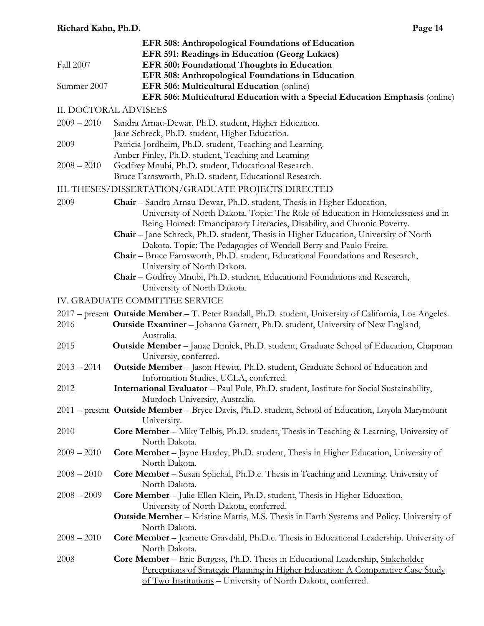|                  | EFR 508: Anthropological Foundations of Education                                                                                                         |
|------------------|-----------------------------------------------------------------------------------------------------------------------------------------------------------|
|                  | EFR 591: Readings in Education (Georg Lukacs)                                                                                                             |
| <b>Fall 2007</b> | EFR 500: Foundational Thoughts in Education                                                                                                               |
|                  | EFR 508: Anthropological Foundations in Education                                                                                                         |
| Summer 2007      | EFR 506: Multicultural Education (online)                                                                                                                 |
|                  | EFR 506: Multicultural Education with a Special Education Emphasis (online)                                                                               |
|                  | <b>II. DOCTORAL ADVISEES</b>                                                                                                                              |
| $2009 - 2010$    | Sandra Arnau-Dewar, Ph.D. student, Higher Education.                                                                                                      |
|                  | Jane Schreck, Ph.D. student, Higher Education.                                                                                                            |
| 2009             | Patricia Jordheim, Ph.D. student, Teaching and Learning.                                                                                                  |
|                  | Amber Finley, Ph.D. student, Teaching and Learning                                                                                                        |
| $2008 - 2010$    | Godfrey Mnubi, Ph.D. student, Educational Research.                                                                                                       |
|                  | Bruce Farnsworth, Ph.D. student, Educational Research.                                                                                                    |
|                  | III. THESES/DISSERTATION/GRADUATE PROJECTS DIRECTED                                                                                                       |
| 2009             | Chair - Sandra Arnau-Dewar, Ph.D. student, Thesis in Higher Education,                                                                                    |
|                  | University of North Dakota. Topic: The Role of Education in Homelessness and in<br>Being Homed: Emancipatory Literacies, Disability, and Chronic Poverty. |
|                  | Chair - Jane Schreck, Ph.D. student, Thesis in Higher Education, University of North                                                                      |
|                  | Dakota. Topic: The Pedagogies of Wendell Berry and Paulo Freire.                                                                                          |
|                  | Chair - Bruce Farnsworth, Ph.D. student, Educational Foundations and Research,<br>University of North Dakota.                                             |
|                  | Chair - Godfrey Mnubi, Ph.D. student, Educational Foundations and Research,                                                                               |
|                  | University of North Dakota.                                                                                                                               |
|                  | IV. GRADUATE COMMITTEE SERVICE                                                                                                                            |
|                  | 2017 – present Outside Member – T. Peter Randall, Ph.D. student, University of California, Los Angeles.                                                   |
| 2016             | Outside Examiner - Johanna Garnett, Ph.D. student, University of New England,<br>Australia.                                                               |
| 2015             | <b>Outside Member</b> – Janae Dimick, Ph.D. student, Graduate School of Education, Chapman                                                                |
|                  | Universiy, conferred.                                                                                                                                     |
| $2013 - 2014$    | Outside Member - Jason Hewitt, Ph.D. student, Graduate School of Education and                                                                            |
|                  | Information Studies, UCLA, conferred.                                                                                                                     |
| 2012             | International Evaluator - Paul Pule, Ph.D. student, Institute for Social Sustainability,<br>Murdoch University, Australia.                                |
|                  | 2011 – present Outside Member – Bryce Davis, Ph.D. student, School of Education, Loyola Marymount<br>University.                                          |
| 2010             | Core Member - Miky Telbis, Ph.D. student, Thesis in Teaching & Learning, University of                                                                    |
|                  | North Dakota.                                                                                                                                             |
| $2009 - 2010$    | Core Member - Jayne Hardey, Ph.D. student, Thesis in Higher Education, University of<br>North Dakota.                                                     |
| $2008 - 2010$    | Core Member - Susan Splichal, Ph.D.c. Thesis in Teaching and Learning. University of                                                                      |
|                  | North Dakota.                                                                                                                                             |
| $2008 - 2009$    | Core Member - Julie Ellen Klein, Ph.D. student, Thesis in Higher Education,                                                                               |
|                  | University of North Dakota, conferred.                                                                                                                    |
|                  | Outside Member - Kristine Mattis, M.S. Thesis in Earth Systems and Policy. University of                                                                  |
|                  | North Dakota.                                                                                                                                             |
| $2008 - 2010$    | Core Member - Jeanette Gravdahl, Ph.D.c. Thesis in Educational Leadership. University of<br>North Dakota.                                                 |
| 2008             | Core Member - Eric Burgess, Ph.D. Thesis in Educational Leadership, Stakeholder                                                                           |
|                  | Perceptions of Strategic Planning in Higher Education: A Comparative Case Study                                                                           |
|                  | of Two Institutions - University of North Dakota, conferred.                                                                                              |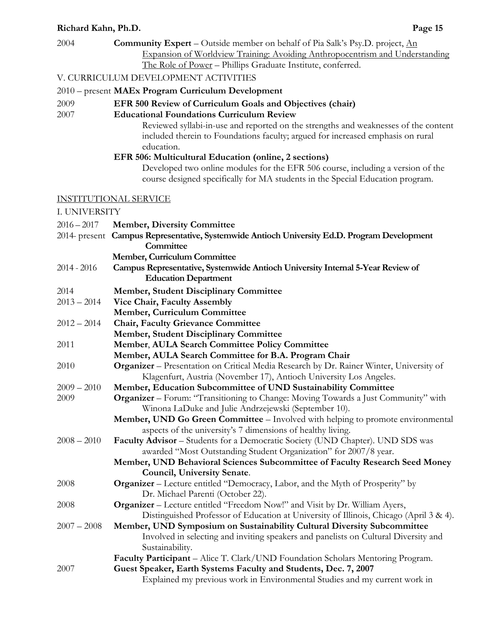| 2004          | <b>Community Expert</b> – Outside member on behalf of Pia Salk's Psy.D. project, $\underline{An}$<br>Expansion of Worldview Training: Avoiding Anthropocentrism and Understanding    |
|---------------|--------------------------------------------------------------------------------------------------------------------------------------------------------------------------------------|
|               | The Role of Power - Phillips Graduate Institute, conferred.                                                                                                                          |
|               | V. CURRICULUM DEVELOPMENT ACTIVITIES                                                                                                                                                 |
|               | 2010 – present MAEx Program Curriculum Development                                                                                                                                   |
| 2009<br>2007  | EFR 500 Review of Curriculum Goals and Objectives (chair)<br><b>Educational Foundations Curriculum Review</b>                                                                        |
|               | Reviewed syllabi-in-use and reported on the strengths and weaknesses of the content<br>included therein to Foundations faculty; argued for increased emphasis on rural<br>education. |
|               | EFR 506: Multicultural Education (online, 2 sections)                                                                                                                                |
|               | Developed two online modules for the EFR 506 course, including a version of the<br>course designed specifically for MA students in the Special Education program.                    |
|               | <b>INSTITUTIONAL SERVICE</b>                                                                                                                                                         |
| I. UNIVERSITY |                                                                                                                                                                                      |
| $2016 - 2017$ | <b>Member, Diversity Committee</b>                                                                                                                                                   |
|               | 2014- present Campus Representative, Systemwide Antioch University Ed.D. Program Development                                                                                         |
|               | Committee                                                                                                                                                                            |
|               | Member, Curriculum Committee                                                                                                                                                         |
| $2014 - 2016$ | Campus Representative, Systemwide Antioch University Internal 5-Year Review of<br><b>Education Department</b>                                                                        |
| 2014          | <b>Member, Student Disciplinary Committee</b>                                                                                                                                        |
| $2013 - 2014$ | Vice Chair, Faculty Assembly                                                                                                                                                         |
|               | Member, Curriculum Committee                                                                                                                                                         |
| $2012 - 2014$ | <b>Chair, Faculty Grievance Committee</b>                                                                                                                                            |
| 2011          | <b>Member, Student Disciplinary Committee</b><br>Member, AULA Search Committee Policy Committee                                                                                      |
|               | Member, AULA Search Committee for B.A. Program Chair                                                                                                                                 |
| 2010          | Organizer - Presentation on Critical Media Research by Dr. Rainer Winter, University of                                                                                              |
|               | Klagenfurt, Austria (November 17), Antioch University Los Angeles.                                                                                                                   |
| $2009 - 2010$ | Member, Education Subcommittee of UND Sustainability Committee                                                                                                                       |
| 2009          | <b>Organizer</b> – Forum: "Transitioning to Change: Moving Towards a Just Community" with                                                                                            |
|               | Winona LaDuke and Julie Andrzejewski (September 10).                                                                                                                                 |
|               | Member, UND Go Green Committee - Involved with helping to promote environmental<br>aspects of the university's 7 dimensions of healthy living.                                       |
| $2008 - 2010$ | Faculty Advisor - Students for a Democratic Society (UND Chapter). UND SDS was                                                                                                       |
|               | awarded "Most Outstanding Student Organization" for 2007/8 year.                                                                                                                     |
|               | Member, UND Behavioral Sciences Subcommittee of Faculty Research Seed Money                                                                                                          |
|               | Council, University Senate.                                                                                                                                                          |
| 2008          | <b>Organizer</b> – Lecture entitled "Democracy, Labor, and the Myth of Prosperity" by<br>Dr. Michael Parenti (October 22).                                                           |
| 2008          | <b>Organizer</b> – Lecture entitled "Freedom Now!" and Visit by Dr. William Ayers,                                                                                                   |
|               | Distinguished Professor of Education at University of Illinois, Chicago (April 3 & 4).                                                                                               |
| $2007 - 2008$ | Member, UND Symposium on Sustainability Cultural Diversity Subcommittee                                                                                                              |
|               | Involved in selecting and inviting speakers and panelists on Cultural Diversity and                                                                                                  |
|               | Sustainability.                                                                                                                                                                      |
| 2007          | Faculty Participant - Alice T. Clark/UND Foundation Scholars Mentoring Program.<br>Guest Speaker, Earth Systems Faculty and Students, Dec. 7, 2007                                   |
|               | Explained my previous work in Environmental Studies and my current work in                                                                                                           |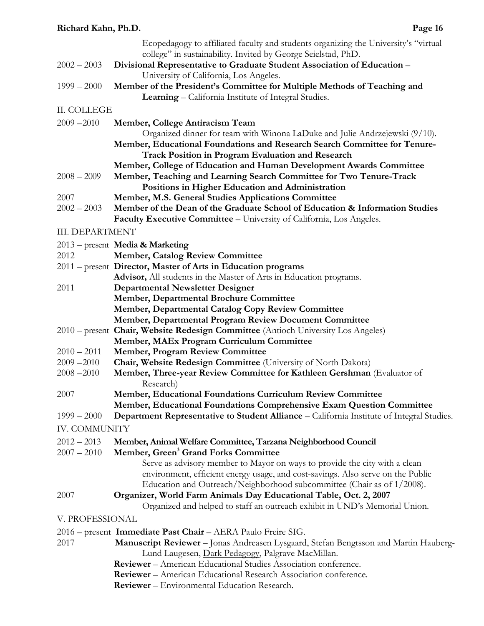|                        | Ecopedagogy to affiliated faculty and students organizing the University's "virtual                                                                                                                                                     |
|------------------------|-----------------------------------------------------------------------------------------------------------------------------------------------------------------------------------------------------------------------------------------|
| $2002 - 2003$          | college" in sustainability. Invited by George Seielstad, PhD.<br>Divisional Representative to Graduate Student Association of Education -                                                                                               |
|                        | University of California, Los Angeles.                                                                                                                                                                                                  |
| $1999 - 2000$          | Member of the President's Committee for Multiple Methods of Teaching and<br>Learning - California Institute of Integral Studies.                                                                                                        |
| II. COLLEGE            |                                                                                                                                                                                                                                         |
| $2009 - 2010$          | Member, College Antiracism Team                                                                                                                                                                                                         |
|                        | Organized dinner for team with Winona LaDuke and Julie Andrzejewski (9/10).<br>Member, Educational Foundations and Research Search Committee for Tenure-<br><b>Track Position in Program Evaluation and Research</b>                    |
|                        | Member, College of Education and Human Development Awards Committee                                                                                                                                                                     |
| $2008 - 2009$          | Member, Teaching and Learning Search Committee for Two Tenure-Track                                                                                                                                                                     |
| 2007                   | Positions in Higher Education and Administration<br>Member, M.S. General Studies Applications Committee                                                                                                                                 |
| $2002 - 2003$          | Member of the Dean of the Graduate School of Education & Information Studies                                                                                                                                                            |
|                        | Faculty Executive Committee - University of California, Los Angeles.                                                                                                                                                                    |
| <b>III. DEPARTMENT</b> |                                                                                                                                                                                                                                         |
|                        | 2013 – present Media & Marketing                                                                                                                                                                                                        |
| 2012                   | <b>Member, Catalog Review Committee</b>                                                                                                                                                                                                 |
|                        | 2011 – present Director, Master of Arts in Education programs                                                                                                                                                                           |
|                        | Advisor, All students in the Master of Arts in Education programs.                                                                                                                                                                      |
| 2011                   | <b>Departmental Newsletter Designer</b>                                                                                                                                                                                                 |
|                        | <b>Member, Departmental Brochure Committee</b>                                                                                                                                                                                          |
|                        | Member, Departmental Catalog Copy Review Committee                                                                                                                                                                                      |
|                        | Member, Departmental Program Review Document Committee                                                                                                                                                                                  |
|                        | 2010 – present Chair, Website Redesign Committee (Antioch University Los Angeles)                                                                                                                                                       |
| $2010 - 2011$          | Member, MAEx Program Curriculum Committee<br><b>Member, Program Review Committee</b>                                                                                                                                                    |
| $2009 - 2010$          | Chair, Website Redesign Committee (University of North Dakota)                                                                                                                                                                          |
| $2008 - 2010$          | Member, Three-year Review Committee for Kathleen Gershman (Evaluator of                                                                                                                                                                 |
|                        | Research)                                                                                                                                                                                                                               |
| 2007                   | Member, Educational Foundations Curriculum Review Committee                                                                                                                                                                             |
|                        | Member, Educational Foundations Comprehensive Exam Question Committee                                                                                                                                                                   |
| $1999 - 2000$          | <b>Department Representative to Student Alliance</b> – California Institute of Integral Studies.                                                                                                                                        |
| <b>IV. COMMUNITY</b>   |                                                                                                                                                                                                                                         |
| $2012 - 2013$          | Member, Animal Welfare Committee, Tarzana Neighborhood Council                                                                                                                                                                          |
| $2007 - 2010$          | Member, Green <sup>3</sup> Grand Forks Committee                                                                                                                                                                                        |
|                        | Serve as advisory member to Mayor on ways to provide the city with a clean<br>environment, efficient energy usage, and cost-savings. Also serve on the Public<br>Education and Outreach/Neighborhood subcommittee (Chair as of 1/2008). |
| 2007                   | Organizer, World Farm Animals Day Educational Table, Oct. 2, 2007<br>Organized and helped to staff an outreach exhibit in UND's Memorial Union.                                                                                         |
| V. PROFESSIONAL        |                                                                                                                                                                                                                                         |
|                        | 2016 – present Immediate Past Chair – AERA Paulo Freire SIG.                                                                                                                                                                            |
| 2017                   | Manuscript Reviewer - Jonas Andreasen Lysgaard, Stefan Bengtsson and Martin Hauberg-<br>Lund Laugesen, Dark Pedagogy, Palgrave MacMillan.                                                                                               |
|                        | Reviewer - American Educational Studies Association conference.                                                                                                                                                                         |
|                        | Reviewer - American Educational Research Association conference.                                                                                                                                                                        |

**Reviewer** – Environmental Education Research.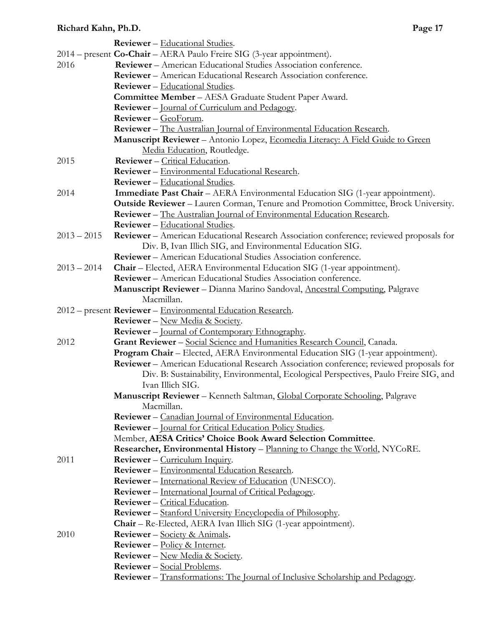|               | <b>Reviewer</b> – Educational Studies.                                                         |
|---------------|------------------------------------------------------------------------------------------------|
|               | 2014 - present Co-Chair - AERA Paulo Freire SIG (3-year appointment).                          |
| 2016          | <b>Reviewer</b> – American Educational Studies Association conference.                         |
|               | Reviewer - American Educational Research Association conference.                               |
|               | <b>Reviewer</b> – Educational Studies.                                                         |
|               | Committee Member - AESA Graduate Student Paper Award.                                          |
|               | <b>Reviewer</b> – <u>Journal of Curriculum and Pedagogy</u> .                                  |
|               | Reviewer - GeoForum.                                                                           |
|               | <b>Reviewer</b> – The Australian Journal of Environmental Education Research.                  |
|               | Manuscript Reviewer - Antonio Lopez, Ecomedia Literacy: A Field Guide to Green                 |
|               | Media Education, Routledge.                                                                    |
| 2015          | Reviewer - Critical Education.                                                                 |
|               | Reviewer - Environmental Educational Research.                                                 |
|               | <b>Reviewer</b> - Educational Studies.                                                         |
| 2014          | Immediate Past Chair - AERA Environmental Education SIG (1-year appointment).                  |
|               | Outside Reviewer - Lauren Corman, Tenure and Promotion Committee, Brock University.            |
|               | <b>Reviewer</b> – The Australian Journal of Environmental Education Research.                  |
|               | <b>Reviewer</b> – Educational Studies.                                                         |
| $2013 - 2015$ | <b>Reviewer</b> – American Educational Research Association conference; reviewed proposals for |
|               | Div. B, Ivan Illich SIG, and Environmental Education SIG.                                      |
|               | <b>Reviewer</b> – American Educational Studies Association conference.                         |
| $2013 - 2014$ | Chair - Elected, AERA Environmental Education SIG (1-year appointment).                        |
|               | <b>Reviewer</b> – American Educational Studies Association conference.                         |
|               | Manuscript Reviewer - Dianna Marino Sandoval, Ancestral Computing, Palgrave                    |
|               | Macmillan.                                                                                     |
|               | 2012 – present Reviewer – Environmental Education Research.                                    |
|               | <b>Reviewer</b> – New Media & Society.                                                         |
|               | <b>Reviewer</b> – <u>Journal of Contemporary Ethnography</u> .                                 |
| 2012          | Grant Reviewer - Social Science and Humanities Research Council, Canada.                       |
|               | Program Chair - Elected, AERA Environmental Education SIG (1-year appointment).                |
|               | Reviewer - American Educational Research Association conference; reviewed proposals for        |
|               | Div. B: Sustainability, Environmental, Ecological Perspectives, Paulo Freire SIG, and          |
|               | Ivan Illich SIG.                                                                               |
|               | Manuscript Reviewer - Kenneth Saltman, Global Corporate Schooling, Palgrave                    |
|               | Macmillan.                                                                                     |
|               | Reviewer - Canadian Journal of Environmental Education.                                        |
|               | <b>Reviewer</b> – Journal for Critical Education Policy Studies.                               |
|               | Member, AESA Critics' Choice Book Award Selection Committee.                                   |
|               | <b>Researcher, Environmental History – Planning to Change the World, NYCoRE.</b>               |
| 2011          | Reviewer - Curriculum Inquiry.                                                                 |
|               | Reviewer - Environmental Education Research.                                                   |
|               | <b>Reviewer</b> – International Review of Education (UNESCO).                                  |
|               | <b>Reviewer</b> – International Journal of Critical Pedagogy.                                  |
|               | <b>Reviewer</b> – Critical Education.                                                          |
|               | Reviewer - Stanford University Encyclopedia of Philosophy.                                     |
|               | Chair - Re-Elected, AERA Ivan Illich SIG (1-year appointment).                                 |
| 2010          | <b>Reviewer</b> – Society & Animals.                                                           |
|               | <b>Reviewer</b> – Policy & Internet.                                                           |
|               | <b>Reviewer</b> – New Media & Society.                                                         |
|               | Reviewer - Social Problems.                                                                    |
|               | <b>Reviewer</b> – Transformations: The Journal of Inclusive Scholarship and Pedagogy.          |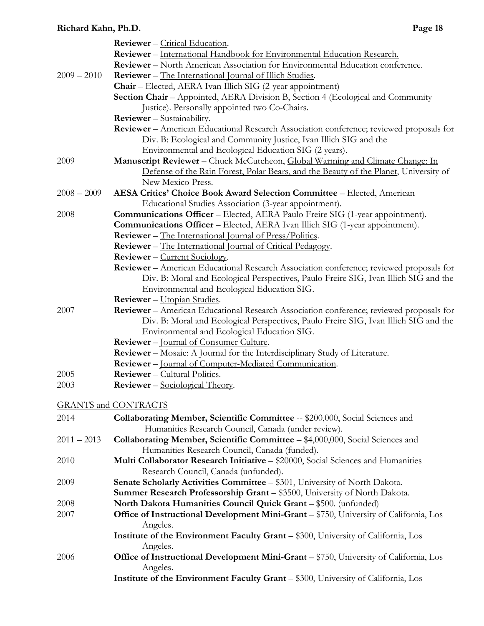|               | <b>Reviewer</b> – Critical Education.                                                   |
|---------------|-----------------------------------------------------------------------------------------|
|               | Reviewer - International Handbook for Environmental Education Research.                 |
|               | <b>Reviewer</b> – North American Association for Environmental Education conference.    |
| $2009 - 2010$ | <b>Reviewer</b> – The International Journal of Illich Studies.                          |
|               | Chair - Elected, AERA Ivan Illich SIG (2-year appointment)                              |
|               | Section Chair - Appointed, AERA Division B, Section 4 (Ecological and Community         |
|               | Justice). Personally appointed two Co-Chairs.                                           |
|               | <b>Reviewer</b> - Sustainability.                                                       |
|               | Reviewer - American Educational Research Association conference; reviewed proposals for |
|               | Div. B: Ecological and Community Justice, Ivan Illich SIG and the                       |
|               | Environmental and Ecological Education SIG (2 years).                                   |
| 2009          | Manuscript Reviewer - Chuck McCutcheon, Global Warming and Climate Change: In           |
|               | Defense of the Rain Forest, Polar Bears, and the Beauty of the Planet, University of    |
|               | New Mexico Press.                                                                       |
| $2008 - 2009$ | AESA Critics' Choice Book Award Selection Committee - Elected, American                 |
|               | Educational Studies Association (3-year appointment).                                   |
| 2008          | Communications Officer - Elected, AERA Paulo Freire SIG (1-year appointment).           |
|               | Communications Officer - Elected, AERA Ivan Illich SIG (1-year appointment).            |
|               | <b>Reviewer</b> – The International Journal of Press/Politics.                          |
|               | <b>Reviewer</b> – The International Journal of Critical Pedagogy.                       |
|               | Reviewer - Current Sociology.                                                           |
|               | Reviewer - American Educational Research Association conference; reviewed proposals for |
|               | Div. B: Moral and Ecological Perspectives, Paulo Freire SIG, Ivan Illich SIG and the    |
|               |                                                                                         |
|               | Environmental and Ecological Education SIG.                                             |
|               | Reviewer - Utopian Studies.                                                             |
| 2007          | Reviewer - American Educational Research Association conference; reviewed proposals for |
|               | Div. B: Moral and Ecological Perspectives, Paulo Freire SIG, Ivan Illich SIG and the    |
|               | Environmental and Ecological Education SIG.                                             |
|               | <b>Reviewer</b> – Journal of Consumer Culture.                                          |
|               | Reviewer - Mosaic: A Journal for the Interdisciplinary Study of Literature.             |
|               | <b>Reviewer</b> – Journal of Computer-Mediated Communication.                           |
| 2005          | <b>Reviewer</b> – Cultural Politics.                                                    |
| 2003          | <b>Reviewer</b> – Sociological Theory.                                                  |
|               | <b>GRANTS and CONTRACTS</b>                                                             |
|               |                                                                                         |
| 2014          | Collaborating Member, Scientific Committee -- \$200,000, Social Sciences and            |
|               | Humanities Research Council, Canada (under review).                                     |
| $2011 - 2013$ | Collaborating Member, Scientific Committee - \$4,000,000, Social Sciences and           |
|               | Humanities Research Council, Canada (funded).                                           |
| 2010          | Multi Collaborator Research Initiative - \$20000, Social Sciences and Humanities        |
|               | Research Council, Canada (unfunded).                                                    |
| 2009          | Senate Scholarly Activities Committee - \$301, University of North Dakota.              |
|               | Summer Research Professorship Grant - \$3500, University of North Dakota.               |
| 2008          | North Dakota Humanities Council Quick Grant - \$500. (unfunded)                         |
| 2007          | Office of Instructional Development Mini-Grant - \$750, University of California, Los   |
|               | Angeles.                                                                                |
|               | Institute of the Environment Faculty Grant - \$300, University of California, Los       |
|               | Angeles.                                                                                |
| 2006          | Office of Instructional Development Mini-Grant - \$750, University of California, Los   |
|               | Angeles.                                                                                |
|               | Institute of the Environment Faculty Grant - \$300, University of California, Los       |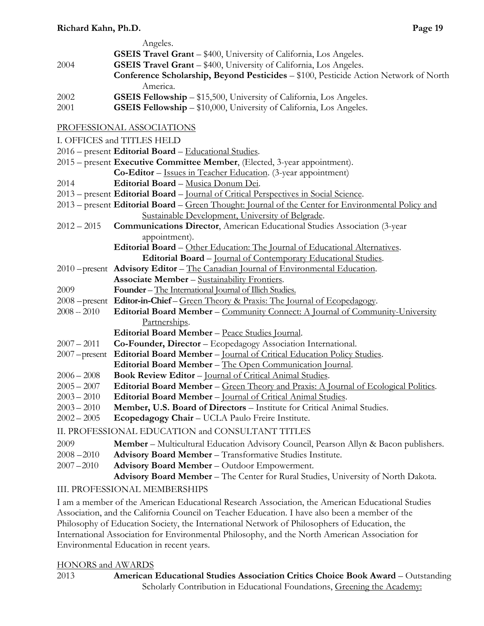|                 | Angeles.                                                                                           |
|-----------------|----------------------------------------------------------------------------------------------------|
|                 | <b>GSEIS Travel Grant - \$400, University of California, Los Angeles.</b>                          |
| 2004            | <b>GSEIS Travel Grant - \$400, University of California, Los Angeles.</b>                          |
|                 | Conference Scholarship, Beyond Pesticides - \$100, Pesticide Action Network of North               |
|                 | America.                                                                                           |
| 2002            | <b>GSEIS Fellowship</b> - \$15,500, University of California, Los Angeles.                         |
| 2001            | <b>GSEIS Fellowship - \$10,000, University of California, Los Angeles.</b>                         |
|                 | PROFESSIONAL ASSOCIATIONS                                                                          |
|                 | I. OFFICES and TITLES HELD                                                                         |
|                 | 2016 – present Editorial Board – Educational Studies.                                              |
|                 | 2015 – present Executive Committee Member, (Elected, 3-year appointment).                          |
|                 | Co-Editor - Issues in Teacher Education. (3-year appointment)                                      |
| 2014            | Editorial Board - Musica Donum Dei.                                                                |
|                 | 2013 – present Editorial Board – Journal of Critical Perspectives in Social Science.               |
|                 | 2013 – present Editorial Board – Green Thought: Journal of the Center for Environmental Policy and |
|                 | Sustainable Development, University of Belgrade.                                                   |
| $2012 - 2015$   | <b>Communications Director, American Educational Studies Association (3-year</b>                   |
|                 | appointment).                                                                                      |
|                 | Editorial Board - Other Education: The Journal of Educational Alternatives.                        |
|                 | Editorial Board - Journal of Contemporary Educational Studies.                                     |
|                 | 2010 - present Advisory Editor - The Canadian Journal of Environmental Education.                  |
|                 | <b>Associate Member - Sustainability Frontiers.</b>                                                |
| 2009            | Founder – The International Journal of Illich Studies.                                             |
|                 | 2008 – present Editor-in-Chief – Green Theory & Praxis: The Journal of Ecopedagogy.                |
| $2008 - 2010$   | <b>Editorial Board Member – Community Connect: A Journal of Community-University</b>               |
|                 | Partnerships.                                                                                      |
|                 | Editorial Board Member - Peace Studies Journal.                                                    |
| $2007 - 2011$   | Co-Founder, Director - Ecopedagogy Association International.                                      |
| $2007$ -present | Editorial Board Member - Journal of Critical Education Policy Studies.                             |
|                 | Editorial Board Member - The Open Communication Journal.                                           |
| $2006 - 2008$   | Book Review Editor - Journal of Critical Animal Studies.                                           |
| $2005 - 2007$   | Editorial Board Member – Green Theory and Praxis: A Journal of Ecological Politics.                |
| $2003 - 2010$   | Editorial Board Member - Journal of Critical Animal Studies.                                       |
| $2003 - 2010$   | Member, U.S. Board of Directors - Institute for Critical Animal Studies.                           |
| $2002 - 2005$   | Ecopedagogy Chair - UCLA Paulo Freire Institute.                                                   |
|                 | II. PROFESSIONAL EDUCATION and CONSULTANT TITLES                                                   |
| 2009            | <b>Member</b> – Multicultural Education Advisory Council, Pearson Allyn & Bacon publishers.        |
| $2008 - 2010$   | Advisory Board Member - Transformative Studies Institute.                                          |
| $2007 - 2010$   | Advisory Board Member - Outdoor Empowerment.                                                       |
|                 | Advisory Board Member - The Center for Rural Studies, University of North Dakota.                  |

# III. PROFESSIONAL MEMBERSHIPS

I am a member of the American Educational Research Association, the American Educational Studies Association, and the California Council on Teacher Education. I have also been a member of the Philosophy of Education Society, the International Network of Philosophers of Education, the International Association for Environmental Philosophy, and the North American Association for Environmental Education in recent years.

### HONORS and AWARDS

2013 **American Educational Studies Association Critics Choice Book Award** – Outstanding Scholarly Contribution in Educational Foundations, Greening the Academy: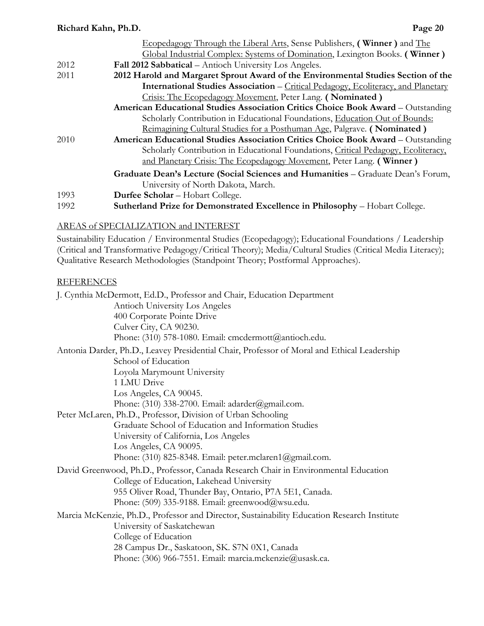| Richard Kahn, Ph.D.<br>Page 20                                                                                  |
|-----------------------------------------------------------------------------------------------------------------|
| Ecopedagogy Through the Liberal Arts, Sense Publishers, (Winner) and The                                        |
| Global Industrial Complex: Systems of Domination, Lexington Books. (Winner)                                     |
| Fall 2012 Sabbatical – Antioch University Los Angeles.                                                          |
| 2012 Harold and Margaret Sprout Award of the Environmental Studies Section of the                               |
| <b>International Studies Association</b> – <i>Critical Pedagogy</i> , <i>Ecoliteracy</i> , and <i>Planetary</i> |
| Crisis: The Ecopedagogy Movement, Peter Lang. (Nominated)                                                       |
| American Educational Studies Association Critics Choice Book Award - Outstanding                                |
| Scholarly Contribution in Educational Foundations, Education Out of Bounds:                                     |
| Reimagining Cultural Studies for a Posthuman Age, Palgrave. (Nominated)                                         |
| American Educational Studies Association Critics Choice Book Award – Outstanding                                |
| Scholarly Contribution in Educational Foundations, Critical Pedagogy, Ecoliteracy,                              |
| and Planetary Crisis: The Ecopedagogy Movement, Peter Lang. (Winner)                                            |
| Graduate Dean's Lecture (Social Sciences and Humanities - Graduate Dean's Forum,                                |
| University of North Dakota, March.                                                                              |
| Durfee Scholar - Hobart College.                                                                                |
| Sutherland Prize for Demonstrated Excellence in Philosophy - Hobart College.                                    |
|                                                                                                                 |

### AREAS of SPECIALIZATION and INTEREST

Sustainability Education / Environmental Studies (Ecopedagogy); Educational Foundations / Leadership (Critical and Transformative Pedagogy/Critical Theory); Media/Cultural Studies (Critical Media Literacy); Qualitative Research Methodologies (Standpoint Theory; Postformal Approaches).

#### REFERENCES

| J. Cynthia McDermott, Ed.D., Professor and Chair, Education Department                      |  |
|---------------------------------------------------------------------------------------------|--|
| Antioch University Los Angeles                                                              |  |
| 400 Corporate Pointe Drive                                                                  |  |
| Culver City, CA 90230.                                                                      |  |
| Phone: (310) 578-1080. Email: cmcdermott@antioch.edu.                                       |  |
| Antonia Darder, Ph.D., Leavey Presidential Chair, Professor of Moral and Ethical Leadership |  |
| School of Education                                                                         |  |
| Loyola Marymount University                                                                 |  |
| 1 LMU Drive                                                                                 |  |
| Los Angeles, CA 90045.                                                                      |  |
| Phone: (310) 338-2700. Email: adarder@gmail.com.                                            |  |
| Peter McLaren, Ph.D., Professor, Division of Urban Schooling                                |  |
| Graduate School of Education and Information Studies                                        |  |
| University of California, Los Angeles                                                       |  |
| Los Angeles, CA 90095.                                                                      |  |
| Phone: $(310)$ 825-8348. Email: peter.mclaren1@gmail.com.                                   |  |
| David Greenwood, Ph.D., Professor, Canada Research Chair in Environmental Education         |  |
| College of Education, Lakehead University                                                   |  |
| 955 Oliver Road, Thunder Bay, Ontario, P7A 5E1, Canada.                                     |  |
| Phone: $(509)$ 335-9188. Email: greenwood@wsu.edu.                                          |  |
| Marcia McKenzie, Ph.D., Professor and Director, Sustainability Education Research Institute |  |
| University of Saskatchewan                                                                  |  |
| College of Education                                                                        |  |
| 28 Campus Dr., Saskatoon, SK. S7N 0X1, Canada                                               |  |
| Phone: (306) 966-7551. Email: marcia.mckenzie@usask.ca.                                     |  |
|                                                                                             |  |